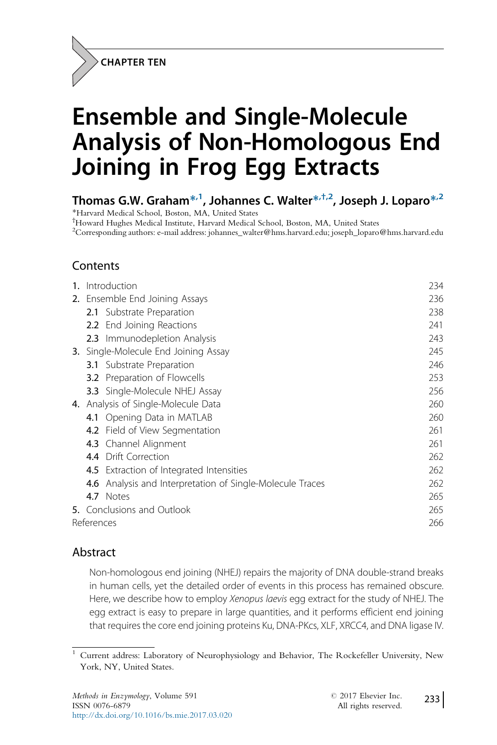

# Ensemble and Single-Molecule Analysis of Non-Homologous End Joining in Frog Egg Extracts

Thomas G.W. Graham<sup>\*,1</sup>, Johannes C. Walter<sup>\*,†,2</sup>, Joseph J. Loparo<sup>\*,2</sup>

\*Harvard Medical School, Boston, MA, United States

† Howard Hughes Medical Institute, Harvard Medical School, Boston, MA, United States

2 Corresponding authors: e-mail address: johannes\_walter@hms.harvard.edu; joseph\_loparo@hms.harvard.edu

## **Contents**

| 1.         | Introduction                         |                                                           | 234 |
|------------|--------------------------------------|-----------------------------------------------------------|-----|
|            | 2. Ensemble End Joining Assays       |                                                           | 236 |
|            |                                      | 2.1 Substrate Preparation                                 | 238 |
|            |                                      | 2.2 End Joining Reactions                                 | 241 |
|            |                                      | 2.3 Immunodepletion Analysis                              | 243 |
|            | 3. Single-Molecule End Joining Assay |                                                           | 245 |
|            |                                      | <b>3.1</b> Substrate Preparation                          | 246 |
|            |                                      | <b>3.2</b> Preparation of Flowcells                       | 253 |
|            |                                      | <b>3.3</b> Single-Molecule NHEJ Assay                     | 256 |
|            | 4. Analysis of Single-Molecule Data  |                                                           | 260 |
|            |                                      | 4.1 Opening Data in MATLAB                                | 260 |
|            |                                      | 4.2 Field of View Segmentation                            | 261 |
|            |                                      | 4.3 Channel Alignment                                     | 261 |
|            |                                      | 4.4 Drift Correction                                      | 262 |
|            |                                      | 4.5 Extraction of Integrated Intensities                  | 262 |
|            |                                      | 4.6 Analysis and Interpretation of Single-Molecule Traces | 262 |
|            |                                      | 4.7 Notes                                                 | 265 |
|            | 5. Conclusions and Outlook           |                                                           | 265 |
| References |                                      |                                                           | 266 |
|            |                                      |                                                           |     |

#### Abstract

Non-homologous end joining (NHEJ) repairs the majority of DNA double-strand breaks in human cells, yet the detailed order of events in this process has remained obscure. Here, we describe how to employ Xenopus laevis egg extract for the study of NHEJ. The egg extract is easy to prepare in large quantities, and it performs efficient end joining that requires the core end joining proteins Ku, DNA-PKcs, XLF, XRCC4, and DNA ligase IV.

<sup>1</sup> Current address: Laboratory of Neurophysiology and Behavior, The Rockefeller University, New York, NY, United States.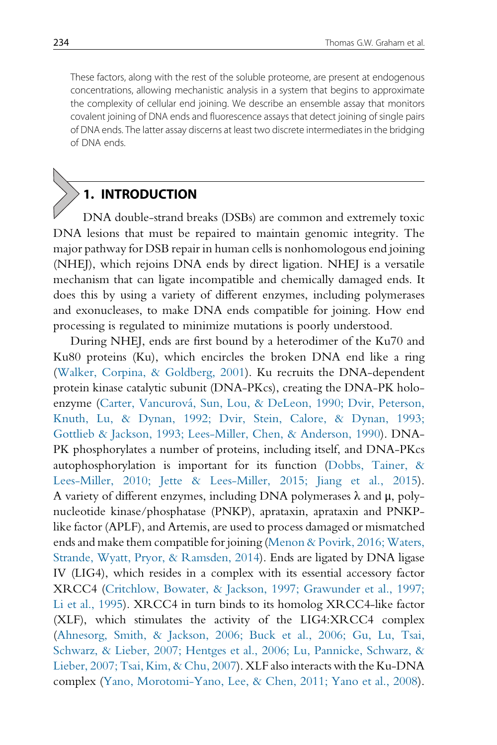These factors, along with the rest of the soluble proteome, are present at endogenous concentrations, allowing mechanistic analysis in a system that begins to approximate the complexity of cellular end joining. We describe an ensemble assay that monitors covalent joining of DNA ends and fluorescence assays that detect joining of single pairs of DNA ends. The latter assay discerns at least two discrete intermediates in the bridging of DNA ends.

# 1. INTRODUCTION

DNA double-strand breaks (DSBs) are common and extremely toxic DNA lesions that must be repaired to maintain genomic integrity. The major pathway for DSB repair in human cells is nonhomologous end joining (NHEJ), which rejoins DNA ends by direct ligation. NHEJ is a versatile mechanism that can ligate incompatible and chemically damaged ends. It does this by using a variety of different enzymes, including polymerases and exonucleases, to make DNA ends compatible for joining. How end processing is regulated to minimize mutations is poorly understood.

During NHEJ, ends are first bound by a heterodimer of the Ku70 and Ku80 proteins (Ku), which encircles the broken DNA end like a ring ([Walker, Corpina, & Goldberg, 2001\)](#page-37-0). Ku recruits the DNA-dependent protein kinase catalytic subunit (DNA-PKcs), creating the DNA-PK holo-enzyme (Carter, Vancurová, Sun, [Lou, & DeLeon, 1990; Dvir, Peterson,](#page-33-0) [Knuth, Lu, & Dynan, 1992; Dvir, Stein, Calore, & Dynan, 1993;](#page-33-0) [Gottlieb & Jackson, 1993; Lees-Miller, Chen, & Anderson, 1990\)](#page-33-0). DNA-PK phosphorylates a number of proteins, including itself, and DNA-PKcs autophosphorylation is important for its function [\(Dobbs, Tainer, &](#page-34-0) Lees-Miller, 2010; [Jette & Lees-Miller, 2015; Jiang et al., 2015\)](#page-34-0). A variety of different enzymes, including DNA polymerases  $\lambda$  and  $\mu$ , polynucleotide kinase/phosphatase (PNKP), aprataxin, aprataxin and PNKPlike factor (APLF), and Artemis, are used to process damaged or mismatched ends and make them compatible for joining [\(Menon & Povirk, 2016; Waters,](#page-36-0) [Strande, Wyatt, Pryor, & Ramsden, 2014](#page-36-0)). Ends are ligated by DNA ligase IV (LIG4), which resides in a complex with its essential accessory factor XRCC4 ([Critchlow, Bowater, & Jackson, 1997; Grawunder et al., 1997;](#page-34-0) Li et [al., 1995\)](#page-34-0). XRCC4 in turn binds to its homolog XRCC4-like factor (XLF), which stimulates the activity of the LIG4:XRCC4 complex ([Ahnesorg, Smith, & Jackson, 2006; Buck et al., 2006; Gu, Lu, Tsai,](#page-33-0) [Schwarz, & Lieber, 2007; Hentges et al., 2006; Lu, Pannicke, Schwarz, &](#page-33-0) [Lieber, 2007; Tsai, Kim, & Chu, 2007](#page-33-0)). XLF also interacts with the Ku-DNA complex ([Yano, Morotomi-Yano, Lee, & Chen, 2011; Yano et al., 2008](#page-37-0)).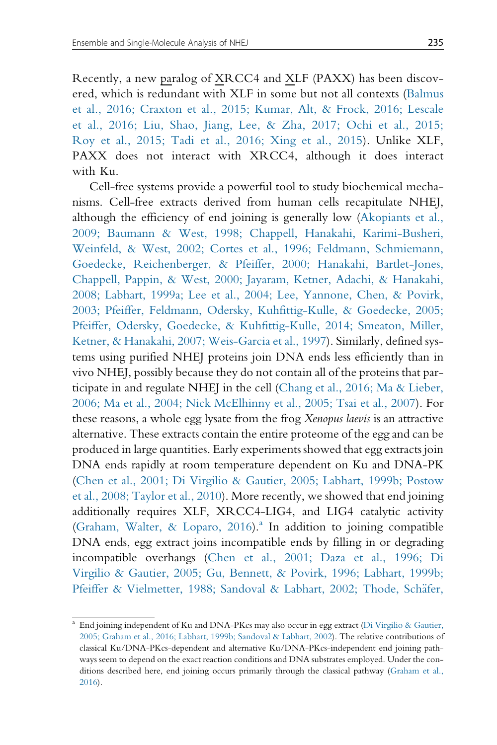Recently, a new paralog of XRCC4 and XLF (PAXX) has been discovered, which is redundant with XLF in some but not all contexts [\(Balmus](#page-33-0) et al., [2016; Craxton et al., 2015; Kumar, Alt, & Frock, 2016; Lescale](#page-33-0) [et al., 2016; Liu, Shao, Jiang, Lee, & Zha, 2017; Ochi et al., 2015;](#page-33-0) [Roy et al., 2015; Tadi et al., 2016; Xing et al., 2015](#page-33-0)). Unlike XLF, PAXX does not interact with XRCC4, although it does interact with Ku.

Cell-free systems provide a powerful tool to study biochemical mechanisms. Cell-free extracts derived from human cells recapitulate NHEJ, although the efficiency of end joining is generally low [\(Akopiants et al.,](#page-33-0) 2009; Baumann [& West, 1998; Chappell, Hanakahi, Karimi-Busheri,](#page-33-0) [Weinfeld, & West, 2002; Cortes et al., 1996; Feldmann, Schmiemann,](#page-33-0) [Goedecke, Reichenberger, & Pfeiffer, 2000; Hanakahi, Bartlet-Jones,](#page-33-0) [Chappell, Pappin, & West, 2000; Jayaram, Ketner, Adachi, & Hanakahi,](#page-33-0) [2008; Labhart, 1999a; Lee et al., 2004; Lee, Yannone, Chen, & Povirk,](#page-33-0) [2003; Pfeiffer, Feldmann, Odersky, Kuhfittig-Kulle, & Goedecke, 2005;](#page-33-0) [Pfeiffer, Odersky, Goedecke, & Kuhfittig-Kulle, 2014; Smeaton, Miller,](#page-33-0) [Ketner, & Hanakahi, 2007; Weis-Garcia et al., 1997\)](#page-33-0). Similarly, defined systems using purified NHEJ proteins join DNA ends less efficiently than in vivo NHEJ, possibly because they do not contain all of the proteins that participate in and regulate NHEJ in the cell [\(Chang et al., 2016; Ma & Lieber,](#page-33-0) 2006; Ma [et al., 2004; Nick McElhinny et al., 2005; Tsai et al., 2007](#page-33-0)). For these reasons, a whole egg lysate from the frog Xenopus laevis is an attractive alternative. These extracts contain the entire proteome of the egg and can be produced in large quantities. Early experiments showed that egg extracts join DNA ends rapidly at room temperature dependent on Ku and DNA-PK [\(Chen et al., 2001; Di Virgilio & Gautier, 2005; Labhart, 1999b; Postow](#page-33-0) et al., [2008; Taylor et al., 2010\)](#page-33-0). More recently, we showed that end joining additionally requires XLF, XRCC4-LIG4, and LIG4 catalytic activity [\(Graham, Walter, & Loparo, 2016](#page-34-0)).<sup>a</sup> In addition to joining compatible DNA ends, egg extract joins incompatible ends by filling in or degrading incompatible overhangs ([Chen et al., 2001; Daza et al., 1996; Di](#page-33-0) Virgilio & [Gautier, 2005; Gu, Bennett, & Povirk, 1996; Labhart, 1999b;](#page-33-0) [Pfeiffer & Vielmetter, 1988; Sandoval & Labhart, 2002; Thode, Sch](#page-33-0)äfer,

 $a<sup>a</sup>$  End joining independent of Ku and DNA-PKcs may also occur in egg extract ([Di Virgilio & Gautier,](#page-34-0) 2005; Graham [et al., 2016; Labhart, 1999b; Sandoval & Labhart, 2002\)](#page-34-0). The relative contributions of classical Ku/DNA-PKcs-dependent and alternative Ku/DNA-PKcs-independent end joining pathways seem to depend on the exact reaction conditions and DNA substrates employed. Under the conditions described here, end joining occurs primarily through the classical pathway [\(Graham et al.,](#page-34-0) [2016\)](#page-34-0).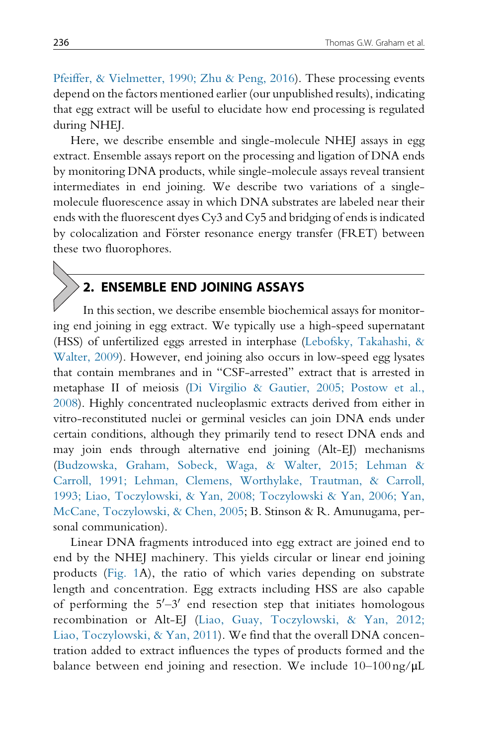[Pfeiffer, & Vielmetter, 1990; Zhu & Peng, 2016](#page-33-0)). These processing events depend on the factors mentioned earlier (our unpublished results), indicating that egg extract will be useful to elucidate how end processing is regulated during NHEJ.

Here, we describe ensemble and single-molecule NHEJ assays in egg extract. Ensemble assays report on the processing and ligation of DNA ends by monitoring DNA products, while single-molecule assays reveal transient intermediates in end joining. We describe two variations of a singlemolecule fluorescence assay in which DNA substrates are labeled near their ends with the fluorescent dyes Cy3 and Cy5 and bridging of ends is indicated by colocalization and Förster resonance energy transfer (FRET) between these two fluorophores.

# 2. ENSEMBLE END JOINING ASSAYS

In this section, we describe ensemble biochemical assays for monitoring end joining in egg extract. We typically use a high-speed supernatant (HSS) of unfertilized eggs arrested in interphase [\(Lebofsky, Takahashi, &](#page-35-0) [Walter,](#page-35-0) 2009). However, end joining also occurs in low-speed egg lysates that contain membranes and in "CSF-arrested" extract that is arrested in metaphase II of meiosis [\(Di Virgilio & Gautier, 2005; Postow et al.,](#page-34-0) [2008\)](#page-34-0). Highly concentrated nucleoplasmic extracts derived from either in vitro-reconstituted nuclei or germinal vesicles can join DNA ends under certain conditions, although they primarily tend to resect DNA ends and may join ends through alternative end joining (Alt-EJ) mechanisms ([Budzowska, Graham, Sobeck, Waga, & Walter, 2015; Lehman &](#page-33-0) Carroll, 1991; [Lehman, Clemens, Worthylake, Trautman, & Carroll,](#page-33-0) [1993; Liao, Toczylowski, & Yan, 2008; Toczylowski & Yan, 2006; Yan,](#page-33-0) [McCane, Toczylowski, & Chen, 2005](#page-33-0); B. Stinson & R. Amunugama, personal communication).

Linear DNA fragments introduced into egg extract are joined end to end by the NHEJ machinery. This yields circular or linear end joining products [\(Fig. 1](#page-4-0)A), the ratio of which varies depending on substrate length and concentration. Egg extracts including HSS are also capable of performing the  $5'-3'$  end resection step that initiates homologous recombination or Alt-EJ ([Liao, Guay, Toczylowski, & Yan, 2012;](#page-35-0) Liao, [Toczylowski, & Yan, 2011\)](#page-35-0). We find that the overall DNA concentration added to extract influences the types of products formed and the balance between end joining and resection. We include 10–100 ng/μL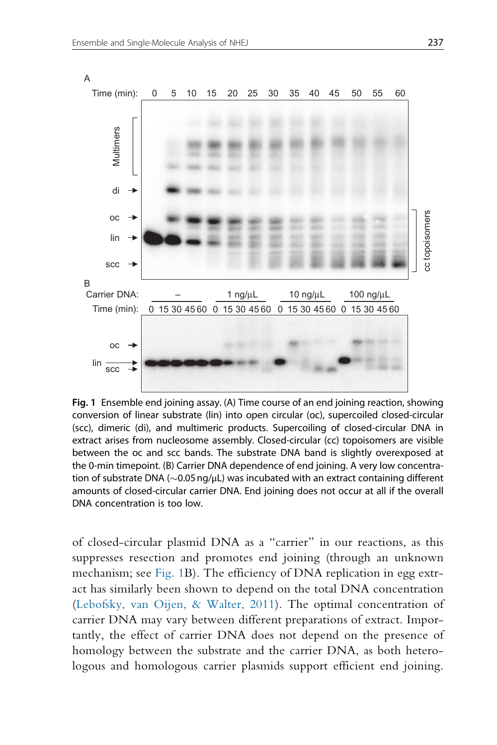<span id="page-4-0"></span>

Fig. 1 Ensemble end joining assay. (A) Time course of an end joining reaction, showing conversion of linear substrate (lin) into open circular (oc), supercoiled closed-circular (scc), dimeric (di), and multimeric products. Supercoiling of closed-circular DNA in extract arises from nucleosome assembly. Closed-circular (cc) topoisomers are visible between the oc and scc bands. The substrate DNA band is slightly overexposed at the 0-min timepoint. (B) Carrier DNA dependence of end joining. A very low concentration of substrate DNA ( $\sim$ 0.05 ng/ $\mu$ L) was incubated with an extract containing different amounts of closed-circular carrier DNA. End joining does not occur at all if the overall DNA concentration is too low.

of closed-circular plasmid DNA as a "carrier" in our reactions, as this suppresses resection and promotes end joining (through an unknown mechanism; see Fig. 1B). The efficiency of DNA replication in egg extract has similarly been shown to depend on the total DNA concentration [\(Lebofsky, van Oijen, & Walter, 2011](#page-35-0)). The optimal concentration of carrier DNA may vary between different preparations of extract. Importantly, the effect of carrier DNA does not depend on the presence of homology between the substrate and the carrier DNA, as both heterologous and homologous carrier plasmids support efficient end joining.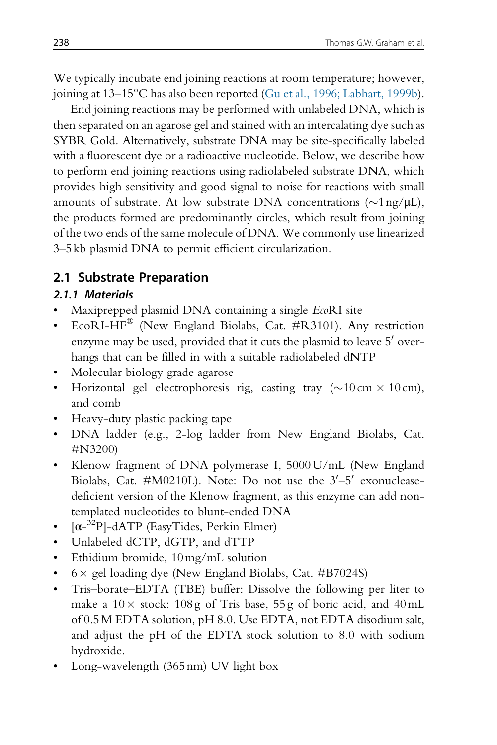We typically incubate end joining reactions at room temperature; however, joining at 13–15°C has also been reported [\(Gu et al., 1996; Labhart, 1999b](#page-34-0)).

End joining reactions may be performed with unlabeled DNA, which is then separated on an agarose gel and stained with an intercalating dye such as SYBR Gold. Alternatively, substrate DNA may be site-specifically labeled with a fluorescent dye or a radioactive nucleotide. Below, we describe how to perform end joining reactions using radiolabeled substrate DNA, which provides high sensitivity and good signal to noise for reactions with small amounts of substrate. At low substrate DNA concentrations ( $\sim$ 1 ng/ $\mu$ L), the products formed are predominantly circles, which result from joining of the two ends of the same molecule of DNA. We commonly use linearized 3–5 kb plasmid DNA to permit efficient circularization.

## 2.1 Substrate Preparation

#### 2.1.1 Materials

- Maxiprepped plasmid DNA containing a single EcoRI site
- EcoRI-HF® (New England Biolabs, Cat. #R3101). Any restriction enzyme may be used, provided that it cuts the plasmid to leave  $5'$  overhangs that can be filled in with a suitable radiolabeled dNTP
- Molecular biology grade agarose
- Horizontal gel electrophoresis rig, casting tray  $(\sim 10 \text{ cm} \times 10 \text{ cm})$ , and comb
- Heavy-duty plastic packing tape
- DNA ladder (e.g., 2-log ladder from New England Biolabs, Cat. #N3200)
- Klenow fragment of DNA polymerase I, 5000U/mL (New England Biolabs, Cat.  $\#M0210L$ ). Note: Do not use the  $3'-5'$  exonucleasedeficient version of the Klenow fragment, as this enzyme can add nontemplated nucleotides to blunt-ended DNA
- $\cdot$  [ $\alpha$ <sup>-32</sup>P]-dATP (EasyTides, Perkin Elmer)
- Unlabeled dCTP, dGTP, and dTTP
- Ethidium bromide, 10mg/mL solution
- $6 \times$  gel loading dye (New England Biolabs, Cat. #B7024S)
- Tris–borate–EDTA (TBE) buffer: Dissolve the following per liter to make a  $10 \times$  stock:  $108 g$  of Tris base,  $55 g$  of boric acid, and  $40 \text{mL}$ of 0.5M EDTA solution, pH 8.0. Use EDTA, not EDTA disodium salt, and adjust the pH of the EDTA stock solution to 8.0 with sodium hydroxide.
- Long-wavelength (365 nm) UV light box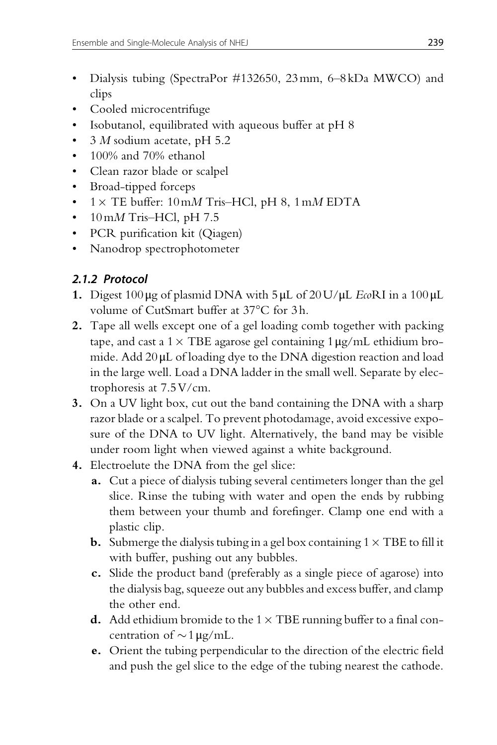- Dialysis tubing (SpectraPor #132650, 23mm, 6–8 kDa MWCO) and clips
- Cooled microcentrifuge
- Isobutanol, equilibrated with aqueous buffer at pH 8
- 3  $M$  sodium acetate, pH 5.2
- 100% and 70% ethanol
- Clean razor blade or scalpel
- Broad-tipped forceps
- $1 \times$  TE buffer: 10 mM Tris–HCl, pH 8, 1 mM EDTA
- $10 \text{ mM Tris-HCl}$ , pH 7.5
- PCR purification kit (Qiagen)
- Nanodrop spectrophotometer

## 2.1.2 Protocol

- **1.** Digest 100  $\mu$ g of plasmid DNA with 5  $\mu$ L of 20 U/ $\mu$ L EcoRI in a 100  $\mu$ L volume of CutSmart buffer at 37°C for 3 h.
- 2. Tape all wells except one of a gel loading comb together with packing tape, and cast a  $1 \times$  TBE agarose gel containing  $1 \mu$ g/mL ethidium bromide. Add 20μL of loading dye to the DNA digestion reaction and load in the large well. Load a DNA ladder in the small well. Separate by electrophoresis at 7.5V/cm.
- 3. On a UV light box, cut out the band containing the DNA with a sharp razor blade or a scalpel. To prevent photodamage, avoid excessive exposure of the DNA to UV light. Alternatively, the band may be visible under room light when viewed against a white background.
- 4. Electroelute the DNA from the gel slice:
	- a. Cut a piece of dialysis tubing several centimeters longer than the gel slice. Rinse the tubing with water and open the ends by rubbing them between your thumb and forefinger. Clamp one end with a plastic clip.
	- **b.** Submerge the dialysis tubing in a gel box containing  $1 \times \text{TBE}$  to fill it with buffer, pushing out any bubbles.
	- c. Slide the product band (preferably as a single piece of agarose) into the dialysis bag, squeeze out any bubbles and excess buffer, and clamp the other end.
	- **d.** Add ethidium bromide to the  $1 \times$  TBE running buffer to a final concentration of  $\sim$  1  $\mu$ g/mL.
	- e. Orient the tubing perpendicular to the direction of the electric field and push the gel slice to the edge of the tubing nearest the cathode.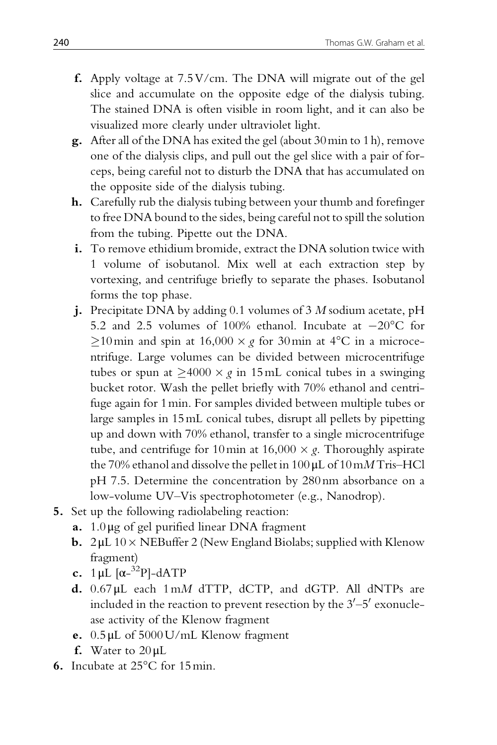- f. Apply voltage at 7.5V/cm. The DNA will migrate out of the gel slice and accumulate on the opposite edge of the dialysis tubing. The stained DNA is often visible in room light, and it can also be visualized more clearly under ultraviolet light.
- g. After all of the DNA has exited the gel (about 30min to 1 h), remove one of the dialysis clips, and pull out the gel slice with a pair of forceps, being careful not to disturb the DNA that has accumulated on the opposite side of the dialysis tubing.
- h. Carefully rub the dialysis tubing between your thumb and forefinger to free DNA bound to the sides, being careful not to spill the solution from the tubing. Pipette out the DNA.
- i. To remove ethidium bromide, extract the DNA solution twice with 1 volume of isobutanol. Mix well at each extraction step by vortexing, and centrifuge briefly to separate the phases. Isobutanol forms the top phase.
- j. Precipitate DNA by adding 0.1 volumes of 3 M sodium acetate, pH 5.2 and 2.5 volumes of 100% ethanol. Incubate at  $-20^{\circ}$ C for  $\geq$ 10min and spin at 16,000  $\times$  g for 30min at 4°C in a microcentrifuge. Large volumes can be divided between microcentrifuge tubes or spun at  $\geq 4000 \times g$  in 15mL conical tubes in a swinging bucket rotor. Wash the pellet briefly with 70% ethanol and centrifuge again for 1min. For samples divided between multiple tubes or large samples in 15mL conical tubes, disrupt all pellets by pipetting up and down with 70% ethanol, transfer to a single microcentrifuge tube, and centrifuge for 10 min at 16,000  $\times$  g. Thoroughly aspirate the 70% ethanol and dissolve the pellet in  $100 \mu L$  of  $10 \text{ m}M$  Tris–HCl pH 7.5. Determine the concentration by 280 nm absorbance on a low-volume UV–Vis spectrophotometer (e.g., Nanodrop).
- 5. Set up the following radiolabeling reaction:
	- **a.** 1.0  $\mu$ g of gel purified linear DNA fragment
	- **b.**  $2 \mu L$  10  $\times$  NEBuffer 2 (New England Biolabs; supplied with Klenow fragment)
	- c.  $1 \mu L \left[ \alpha^{-32}P \right] dATP$
	- d.  $0.67 \mu L$  each 1 mM dTTP, dCTP, and dGTP. All dNTPs are included in the reaction to prevent resection by the  $3'-5'$  exonuclease activity of the Klenow fragment
	- e.  $0.5 \mu L$  of 5000 U/mL Klenow fragment
	- f. Water to  $20 \mu L$
- 6. Incubate at 25°C for 15min.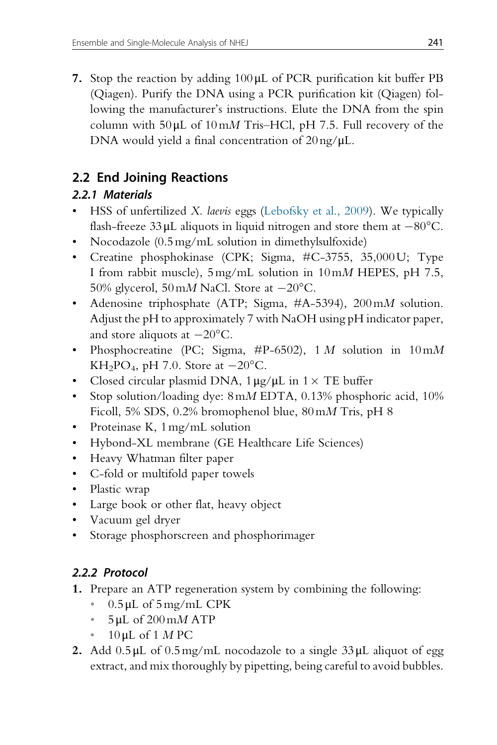7. Stop the reaction by adding 100μL of PCR purification kit buffer PB (Qiagen). Purify the DNA using a PCR purification kit (Qiagen) following the manufacturer's instructions. Elute the DNA from the spin column with  $50 \mu L$  of  $10 \text{ m}M$  Tris–HCl, pH 7.5. Full recovery of the DNA would yield a final concentration of 20 ng/μL.

# 2.2 End Joining Reactions

## 2.2.1 Materials

- HSS of unfertilized X. laevis eggs [\(Lebofsky et al., 2009\)](#page-35-0). We typically flash-freeze 33  $\mu$ L aliquots in liquid nitrogen and store them at  $-80^{\circ}$ C.
- Nocodazole (0.5mg/mL solution in dimethylsulfoxide)
- Creatine phosphokinase (CPK; Sigma, #C-3755, 35,000U; Type I from rabbit muscle), 5mg/mL solution in 10mM HEPES, pH 7.5, 50% glycerol, 50 mM NaCl. Store at  $-20^{\circ}$ C.
- Adenosine triphosphate (ATP; Sigma,  $#A-5394$ ), 200 mM solution. Adjust the pH to approximately 7 with NaOH using pH indicator paper, and store aliquots at  $-20^{\circ}$ C.
- Phosphocreatine (PC; Sigma, #P-6502), 1 M solution in  $10 \text{ m}$ M  $KH_2PO_4$ , pH 7.0. Store at  $-20^{\circ}$ C.
- Closed circular plasmid DNA, 1 μg/μL in 1 × TE buffer<br>• Stop solution/loading dve: 8 mM EDTA, 0.13% phosphe
- Stop solution/loading dye: 8mM EDTA, 0.13% phosphoric acid, 10% Ficoll, 5% SDS, 0.2% bromophenol blue, 80mM Tris, pH 8
- Proteinase K, 1 mg/mL solution
- Hybond-XL membrane (GE Healthcare Life Sciences)
- Heavy Whatman filter paper
- C-fold or multifold paper towels
- Plastic wrap
- Large book or other flat, heavy object
- Vacuum gel dryer
- Storage phosphorscreen and phosphorimager

# 2.2.2 Protocol

- 1. Prepare an ATP regeneration system by combining the following:
	- $0.5 \mu L$  of  $5 \text{ mg/mL}$  CPK
	- $5 \mu L$  of  $200 \,\mathrm{m}M$  ATP
	- $10$ μL of 1 M PC
- **2.** Add  $0.5 \mu L$  of  $0.5 \text{ mg/mL}$  nocodazole to a single  $33 \mu L$  aliquot of egg extract, and mix thoroughly by pipetting, being careful to avoid bubbles.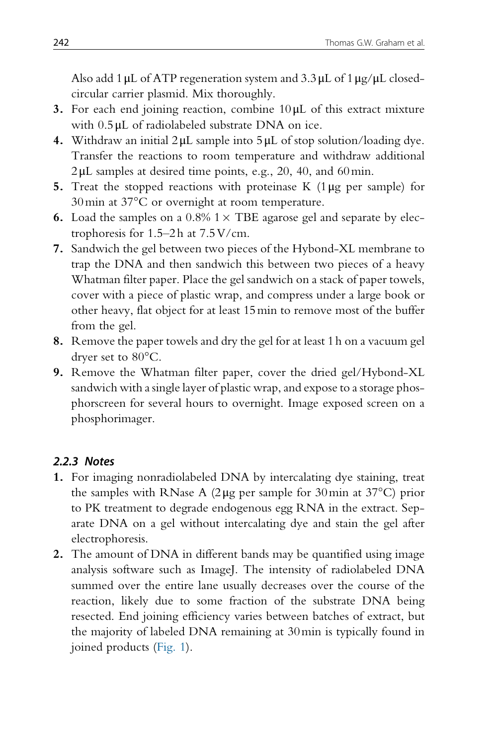Also add 1  $\mu$ L of ATP regeneration system and 3.3  $\mu$ L of 1  $\mu$ g/ $\mu$ L closedcircular carrier plasmid. Mix thoroughly.

- 3. For each end joining reaction, combine  $10 \mu L$  of this extract mixture with 0.5μL of radiolabeled substrate DNA on ice.
- 4. Withdraw an initial  $2\mu$ L sample into  $5\mu$ L of stop solution/loading dye. Transfer the reactions to room temperature and withdraw additional  $2 \mu L$  samples at desired time points, e.g., 20, 40, and 60 min.
- **5.** Treat the stopped reactions with proteinase K  $(1 \mu g)$  per sample) for 30min at 37°C or overnight at room temperature.
- **6.** Load the samples on a 0.8%  $1 \times$  TBE agarose gel and separate by electrophoresis for  $1.5-2h$  at  $7.5V/cm$ .
- 7. Sandwich the gel between two pieces of the Hybond-XL membrane to trap the DNA and then sandwich this between two pieces of a heavy Whatman filter paper. Place the gel sandwich on a stack of paper towels, cover with a piece of plastic wrap, and compress under a large book or other heavy, flat object for at least 15min to remove most of the buffer from the gel.
- 8. Remove the paper towels and dry the gel for at least 1 h on a vacuum gel dryer set to 80°C.
- 9. Remove the Whatman filter paper, cover the dried gel/Hybond-XL sandwich with a single layer of plastic wrap, and expose to a storage phosphorscreen for several hours to overnight. Image exposed screen on a phosphorimager.

## 2.2.3 Notes

- 1. For imaging nonradiolabeled DNA by intercalating dye staining, treat the samples with RNase A (2μg per sample for 30min at 37°C) prior to PK treatment to degrade endogenous egg RNA in the extract. Separate DNA on a gel without intercalating dye and stain the gel after electrophoresis.
- 2. The amount of DNA in different bands may be quantified using image analysis software such as ImageJ. The intensity of radiolabeled DNA summed over the entire lane usually decreases over the course of the reaction, likely due to some fraction of the substrate DNA being resected. End joining efficiency varies between batches of extract, but the majority of labeled DNA remaining at 30min is typically found in joined products [\(Fig. 1\)](#page-4-0).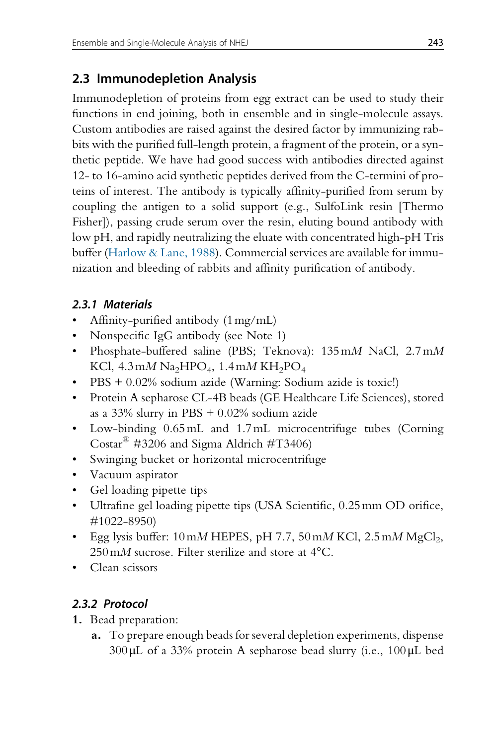## 2.3 Immunodepletion Analysis

Immunodepletion of proteins from egg extract can be used to study their functions in end joining, both in ensemble and in single-molecule assays. Custom antibodies are raised against the desired factor by immunizing rabbits with the purified full-length protein, a fragment of the protein, or a synthetic peptide. We have had good success with antibodies directed against 12- to 16-amino acid synthetic peptides derived from the C-termini of proteins of interest. The antibody is typically affinity-purified from serum by coupling the antigen to a solid support (e.g., SulfoLink resin [Thermo Fisher]), passing crude serum over the resin, eluting bound antibody with low pH, and rapidly neutralizing the eluate with concentrated high-pH Tris buffer ([Harlow & Lane, 1988](#page-34-0)). Commercial services are available for immunization and bleeding of rabbits and affinity purification of antibody.

#### 2.3.1 Materials

- Affinity-purified antibody (1mg/mL)
- Nonspecific IgG antibody (see Note 1)
- Phosphate-buffered saline (PBS; Teknova): 135 mM NaCl, 2.7 mM KCl,  $4.3 \text{m}M$  Na<sub>2</sub>HPO<sub>4</sub>,  $1.4 \text{m}M$  KH<sub>2</sub>PO<sub>4</sub>
- PBS + 0.02% sodium azide (Warning: Sodium azide is toxic!)
- Protein A sepharose CL-4B beads (GE Healthcare Life Sciences), stored as a 33% slurry in PBS  $+ 0.02$ % sodium azide
- Low-binding 0.65mL and 1.7mL microcentrifuge tubes (Corning Costar<sup>®</sup> #3206 and Sigma Aldrich #T3406)
- Swinging bucket or horizontal microcentrifuge
- Vacuum aspirator
- Gel loading pipette tips
- Ultrafine gel loading pipette tips (USA Scientific, 0.25 mm OD orifice, #1022-8950)
- Egg lysis buffer:  $10 \text{ mM HEPES}$ , pH 7.7,  $50 \text{ mM KCl}$ ,  $2.5 \text{ mM MgCl}_2$ ,  $250 \text{m}$  sucrose. Filter sterilize and store at  $4^{\circ}$ C.
- Clean scissors

## 2.3.2 Protocol

- 1. Bead preparation:
	- a. To prepare enough beads for several depletion experiments, dispense 300μL of a 33% protein A sepharose bead slurry (i.e., 100μL bed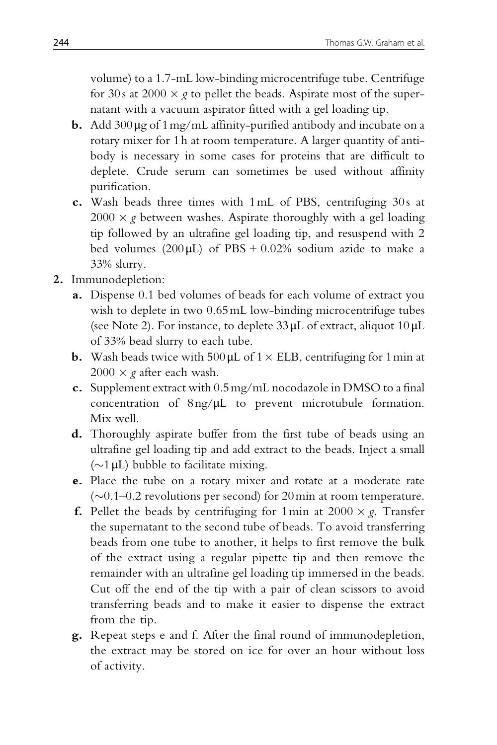volume) to a 1.7-mL low-binding microcentrifuge tube. Centrifuge for 30s at 2000  $\times$  g to pellet the beads. Aspirate most of the supernatant with a vacuum aspirator fitted with a gel loading tip.

- **b.** Add  $300 \mu$ g of 1 mg/mL affinity-purified antibody and incubate on a rotary mixer for 1 h at room temperature. A larger quantity of antibody is necessary in some cases for proteins that are difficult to deplete. Crude serum can sometimes be used without affinity purification.
- c. Wash beads three times with 1mL of PBS, centrifuging 30s at  $2000 \times g$  between washes. Aspirate thoroughly with a gel loading tip followed by an ultrafine gel loading tip, and resuspend with 2 bed volumes (200 $\mu$ L) of PBS + 0.02% sodium azide to make a 33% slurry.
- 2. Immunodepletion:
	- a. Dispense 0.1 bed volumes of beads for each volume of extract you wish to deplete in two  $0.65$  mL low-binding microcentrifuge tubes (see Note 2). For instance, to deplete  $33 \mu$ L of extract, aliquot  $10 \mu$ L of 33% bead slurry to each tube.
	- **b.** Wash beads twice with 500  $\mu$ L of 1  $\times$  ELB, centrifuging for 1 min at  $2000 \times g$  after each wash.
	- c. Supplement extract with 0.5mg/mL nocodazole in DMSO to a final concentration of  $8 \text{ ng/}\mu\text{L}$  to prevent microtubule formation. Mix well.
	- d. Thoroughly aspirate buffer from the first tube of beads using an ultrafine gel loading tip and add extract to the beads. Inject a small  $(\sim 1 \,\mu L)$  bubble to facilitate mixing.
	- e. Place the tube on a rotary mixer and rotate at a moderate rate  $(\sim 0.1 - 0.2$  revolutions per second) for 20 min at room temperature.
	- **f.** Pellet the beads by centrifuging for 1 min at 2000  $\times$  g. Transfer the supernatant to the second tube of beads. To avoid transferring beads from one tube to another, it helps to first remove the bulk of the extract using a regular pipette tip and then remove the remainder with an ultrafine gel loading tip immersed in the beads. Cut off the end of the tip with a pair of clean scissors to avoid transferring beads and to make it easier to dispense the extract from the tip.
	- g. Repeat steps e and f. After the final round of immunodepletion, the extract may be stored on ice for over an hour without loss of activity.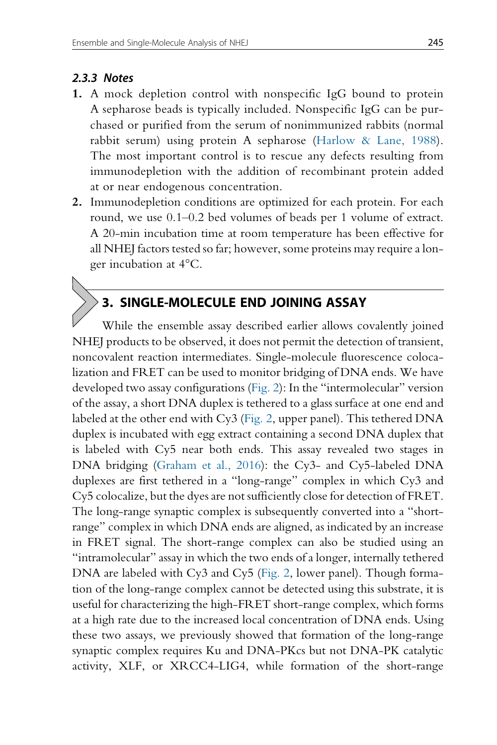#### 2.3.3 Notes

- 1. A mock depletion control with nonspecific IgG bound to protein A sepharose beads is typically included. Nonspecific IgG can be purchased or purified from the serum of nonimmunized rabbits (normal rabbit serum) using protein A sepharose ([Harlow & Lane, 1988](#page-34-0)). The most important control is to rescue any defects resulting from immunodepletion with the addition of recombinant protein added at or near endogenous concentration.
- 2. Immunodepletion conditions are optimized for each protein. For each round, we use 0.1–0.2 bed volumes of beads per 1 volume of extract. A 20-min incubation time at room temperature has been effective for all NHEJ factors tested so far; however, some proteins may require a longer incubation at 4°C.

## 3. SINGLE-MOLECULE END JOINING ASSAY

While the ensemble assay described earlier allows covalently joined NHEJ products to be observed, it does not permit the detection of transient, noncovalent reaction intermediates. Single-molecule fluorescence colocalization and FRET can be used to monitor bridging of DNA ends. We have developed two assay configurations [\(Fig. 2\)](#page-13-0): In the "intermolecular" version of the assay, a short DNA duplex is tethered to a glass surface at one end and labeled at the other end with Cy3 [\(Fig. 2,](#page-13-0) upper panel). This tethered DNA duplex is incubated with egg extract containing a second DNA duplex that is labeled with Cy5 near both ends. This assay revealed two stages in DNA bridging [\(Graham et al., 2016\)](#page-34-0): the Cy3- and Cy5-labeled DNA duplexes are first tethered in a "long-range" complex in which Cy3 and Cy5 colocalize, but the dyes are not sufficiently close for detection of FRET. The long-range synaptic complex is subsequently converted into a "shortrange" complex in which DNA ends are aligned, as indicated by an increase in FRET signal. The short-range complex can also be studied using an "intramolecular" assay in which the two ends of a longer, internally tethered DNA are labeled with Cy3 and Cy5 ([Fig. 2,](#page-13-0) lower panel). Though formation of the long-range complex cannot be detected using this substrate, it is useful for characterizing the high-FRET short-range complex, which forms at a high rate due to the increased local concentration of DNA ends. Using these two assays, we previously showed that formation of the long-range synaptic complex requires Ku and DNA-PKcs but not DNA-PK catalytic activity, XLF, or XRCC4-LIG4, while formation of the short-range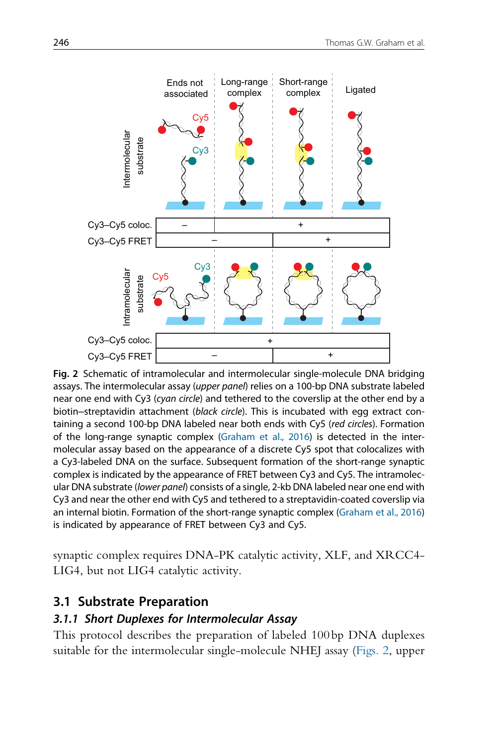<span id="page-13-0"></span>

Fig. 2 Schematic of intramolecular and intermolecular single-molecule DNA bridging assays. The intermolecular assay (upper panel) relies on a 100-bp DNA substrate labeled near one end with Cy3 (cyan circle) and tethered to the coverslip at the other end by a biotin–streptavidin attachment (black circle). This is incubated with egg extract containing a second 100-bp DNA labeled near both ends with Cy5 (red circles). Formation of the long-range synaptic complex [\(Graham et al., 2016\)](#page-34-0) is detected in the intermolecular assay based on the appearance of a discrete Cy5 spot that colocalizes with a Cy3-labeled DNA on the surface. Subsequent formation of the short-range synaptic complex is indicated by the appearance of FRET between Cy3 and Cy5. The intramolecular DNA substrate (lower panel) consists of a single, 2-kb DNA labeled near one end with Cy3 and near the other end with Cy5 and tethered to a streptavidin-coated coverslip via an internal biotin. Formation of the short-range synaptic complex ([Graham et al., 2016\)](#page-34-0) is indicated by appearance of FRET between Cy3 and Cy5.

synaptic complex requires DNA-PK catalytic activity, XLF, and XRCC4- LIG4, but not LIG4 catalytic activity.

#### 3.1 Substrate Preparation

#### 3.1.1 Short Duplexes for Intermolecular Assay

This protocol describes the preparation of labeled 100 bp DNA duplexes suitable for the intermolecular single-molecule NHEJ assay (Figs. 2, upper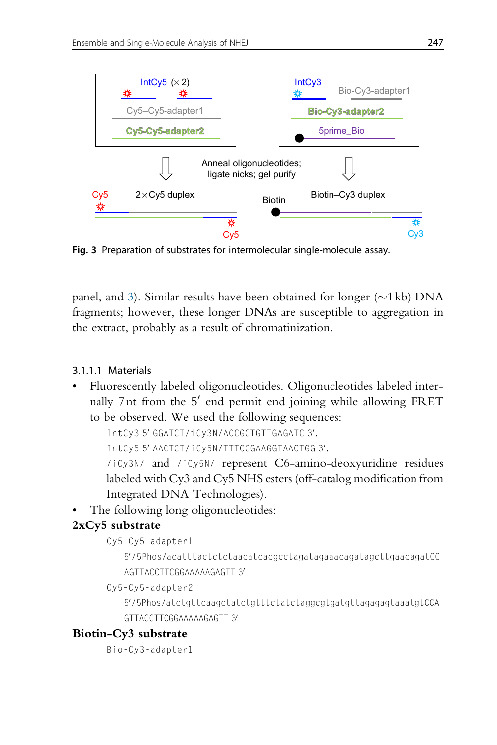

Fig. 3 Preparation of substrates for intermolecular single-molecule assay.

panel, and 3). Similar results have been obtained for longer  $(\sim1\,\text{kb})$  DNA fragments; however, these longer DNAs are susceptible to aggregation in the extract, probably as a result of chromatinization.

#### 3.1.1.1 Materials

• Fluorescently labeled oligonucleotides. Oligonucleotides labeled internally  $7$ nt from the  $5'$  end permit end joining while allowing FRET to be observed. We used the following sequences:

IntCy3 5' GGATCT/iCy3N/ACCGCTGTTGAGATC 3'.

IntCy5 5' AACTCT/iCy5N/TTTCCGAAGGTAACTGG 3'.

/iCy3N/ and /iCy5N/ represent C6-amino-deoxyuridine residues labeled with Cy3 and Cy5 NHS esters (off-catalog modification from Integrated DNA Technologies).

The following long oligonucleotides:

#### 2xCy5 substrate

```
Cy5–Cy5-adapter1
```

```
5'/5Phos/acatttactctctaacatcacgcctagatagaaacagatagcttgaacagatCC
AGTTACCTTCGGAAAAAGAGTT 30
```
Cy5–Cy5-adapter2

5'/5Phos/atctgttcaagctatctgtttctatctaggcgtgatgttagagagtaaatgtCCA GTTACCTTCGGAAAAAGAGTT 3'

#### Biotin-Cy3 substrate

```
Bio-Cy3-adapter1
```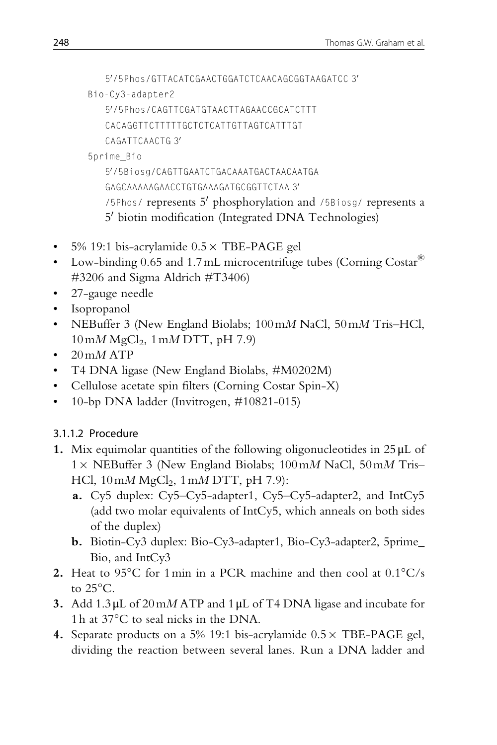5'/5Phos/GTTACATCGAACTGGATCTCAACAGCGGTAAGATCC 3'

Bio-Cy3-adapter2

50 /5Phos/CAGTTCGATGTAACTTAGAACCGCATCTTT

CACAGGTTCTTTTTGCTCTCATTGTTAGTCATTTGT

CAGATTCAACTG 3'

5prime\_Bio

50 /5Biosg/CAGTTGAATCTGACAAATGACTAACAATGA GAGCAAAAAGAACCTGTGAAAGATGCGGTTCTAA 3'

/5Phos/ represents  $5'$  phosphorylation and /5Biosg/ represents a

- 5' biotin modification (Integrated DNA Technologies)
- 5% 19:1 bis-acrylamide  $0.5 \times$  TBE-PAGE gel
- Low-binding 0.65 and 1.7mL microcentrifuge tubes (Corning Costar<sup>®</sup> #3206 and Sigma Aldrich #T3406)
- 27-gauge needle
- **Isopropanol**
- NEBuffer 3 (New England Biolabs; 100mM NaCl, 50mM Tris–HCl,  $10 \text{m}M \text{ MgCl}_2$ ,  $1 \text{m}M \text{ DTT}$ , pH 7.9)
- $20 \text{m}M$  ATP
- T4 DNA ligase (New England Biolabs, #M0202M)
- Cellulose acetate spin filters (Corning Costar Spin-X)
- 10-bp DNA ladder (Invitrogen, #10821-015)

# 3.1.1.2 Procedure

- 1. Mix equimolar quantities of the following oligonucleotides in  $25 \mu L$  of  $1 \times$  NEBuffer 3 (New England Biolabs;  $100 \text{ mM}$  NaCl,  $50 \text{ mM}$  Tris– HCl,  $10 \text{ m}M \text{ MgCl}_2$ ,  $1 \text{ m}M \text{ DTT}$ , pH 7.9):
	- a. Cy5 duplex: Cy5–Cy5-adapter1, Cy5–Cy5-adapter2, and IntCy5 (add two molar equivalents of IntCy5, which anneals on both sides of the duplex)
	- b. Biotin-Cy3 duplex: Bio-Cy3-adapter1, Bio-Cy3-adapter2, 5prime\_ Bio, and IntCy3
- 2. Heat to 95°C for 1min in a PCR machine and then cool at 0.1°C/s to 25°C.
- 3. Add  $1.3 \mu$ L of  $20 \text{m}M$  ATP and  $1 \mu$ L of T4 DNA ligase and incubate for 1 h at 37°C to seal nicks in the DNA.
- **4.** Separate products on a 5% 19:1 bis-acrylamide  $0.5 \times \text{TBE-PAGE}$  gel, dividing the reaction between several lanes. Run a DNA ladder and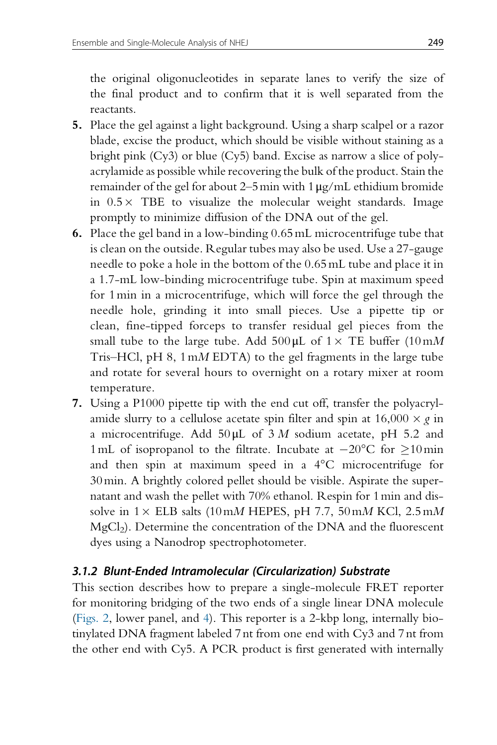the original oligonucleotides in separate lanes to verify the size of the final product and to confirm that it is well separated from the reactants.

- 5. Place the gel against a light background. Using a sharp scalpel or a razor blade, excise the product, which should be visible without staining as a bright pink (Cy3) or blue (Cy5) band. Excise as narrow a slice of polyacrylamide as possible while recovering the bulk of the product. Stain the remainder of the gel for about  $2-5$  min with  $1 \mu g/mL$  ethidium bromide in  $0.5 \times$  TBE to visualize the molecular weight standards. Image promptly to minimize diffusion of the DNA out of the gel.
- 6. Place the gel band in a low-binding 0.65mL microcentrifuge tube that is clean on the outside. Regular tubes may also be used. Use a 27-gauge needle to poke a hole in the bottom of the 0.65mL tube and place it in a 1.7-mL low-binding microcentrifuge tube. Spin at maximum speed for 1min in a microcentrifuge, which will force the gel through the needle hole, grinding it into small pieces. Use a pipette tip or clean, fine-tipped forceps to transfer residual gel pieces from the small tube to the large tube. Add 500 $\mu$ L of 1 × TE buffer (10 mM Tris–HCl, pH 8, 1mM EDTA) to the gel fragments in the large tube and rotate for several hours to overnight on a rotary mixer at room temperature.
- 7. Using a P1000 pipette tip with the end cut off, transfer the polyacrylamide slurry to a cellulose acetate spin filter and spin at  $16,000 \times g$  in a microcentrifuge. Add  $50 \mu L$  of 3 M sodium acetate, pH 5.2 and 1mL of isopropanol to the filtrate. Incubate at  $-20^{\circ}$ C for  $\geq 10$ min and then spin at maximum speed in a 4°C microcentrifuge for 30min. A brightly colored pellet should be visible. Aspirate the supernatant and wash the pellet with 70% ethanol. Respin for 1min and dissolve in  $1 \times$  ELB salts (10 mM HEPES, pH 7.7, 50 mM KCl, 2.5 mM  $MgCl<sub>2</sub>$ ). Determine the concentration of the DNA and the fluorescent dyes using a Nanodrop spectrophotometer.

#### 3.1.2 Blunt-Ended Intramolecular (Circularization) Substrate

This section describes how to prepare a single-molecule FRET reporter for monitoring bridging of the two ends of a single linear DNA molecule [\(Figs. 2,](#page-13-0) lower panel, and [4\)](#page-17-0). This reporter is a 2-kbp long, internally biotinylated DNA fragment labeled 7 nt from one end with Cy3 and 7 nt from the other end with Cy5. A PCR product is first generated with internally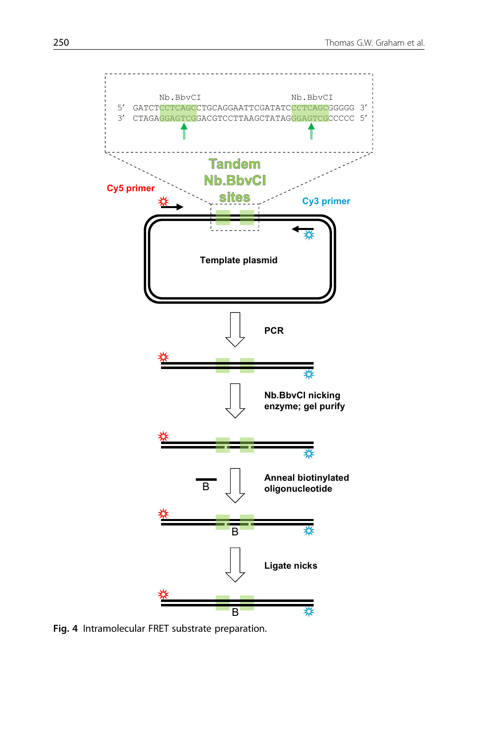<span id="page-17-0"></span>

Fig. 4 Intramolecular FRET substrate preparation.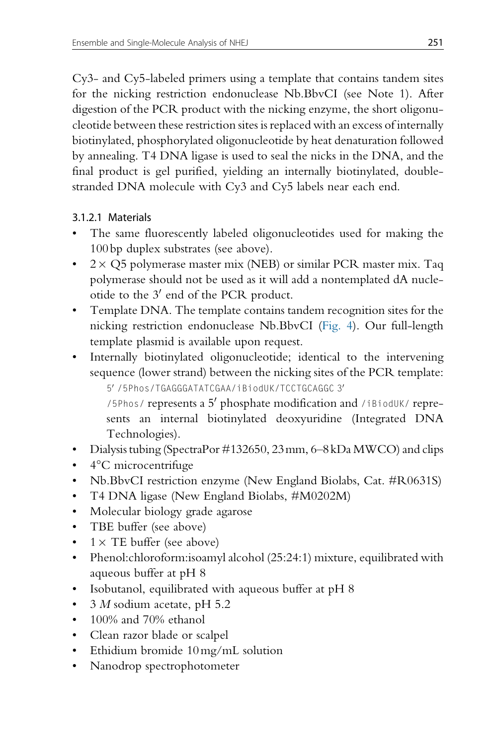Cy3- and Cy5-labeled primers using a template that contains tandem sites for the nicking restriction endonuclease Nb.BbvCI (see Note 1). After digestion of the PCR product with the nicking enzyme, the short oligonucleotide between these restriction sites is replaced with an excess of internally biotinylated, phosphorylated oligonucleotide by heat denaturation followed by annealing. T4 DNA ligase is used to seal the nicks in the DNA, and the final product is gel purified, yielding an internally biotinylated, doublestranded DNA molecule with Cy3 and Cy5 labels near each end.

## 3.1.2.1 Materials

- The same fluorescently labeled oligonucleotides used for making the 100 bp duplex substrates (see above).
- $2 \times$  Q5 polymerase master mix (NEB) or similar PCR master mix. Taq polymerase should not be used as it will add a nontemplated dA nucleotide to the  $3'$  end of the PCR product.
- Template DNA. The template contains tandem recognition sites for the nicking restriction endonuclease Nb.BbvCI ([Fig. 4](#page-17-0)). Our full-length template plasmid is available upon request.
- Internally biotinylated oligonucleotide; identical to the intervening sequence (lower strand) between the nicking sites of the PCR template: 5<sup>0</sup> /5Phos/TGAGGGATATCGAA/iBiodUK/TCCTGCAGGC 3<sup>0</sup>
	- /5Phos/ represents a  $5'$  phosphate modification and /iBiodUK/ represents an internal biotinylated deoxyuridine (Integrated DNA Technologies).
- Dialysis tubing (SpectraPor #132650, 23mm, 6–8kDa MWCO) and clips
- 4°C microcentrifuge
- Nb.BbvCI restriction enzyme (New England Biolabs, Cat. #R0631S)
- T4 DNA ligase (New England Biolabs, #M0202M)
- Molecular biology grade agarose
- TBE buffer (see above)
- $1 \times$  TE buffer (see above)
- Phenol:chloroform:isoamyl alcohol (25:24:1) mixture, equilibrated with aqueous buffer at pH 8
- Isobutanol, equilibrated with aqueous buffer at pH 8
- 3  $M$  sodium acetate, pH 5.2
- 100% and 70% ethanol
- Clean razor blade or scalpel
- Ethidium bromide 10 mg/mL solution
- Nanodrop spectrophotometer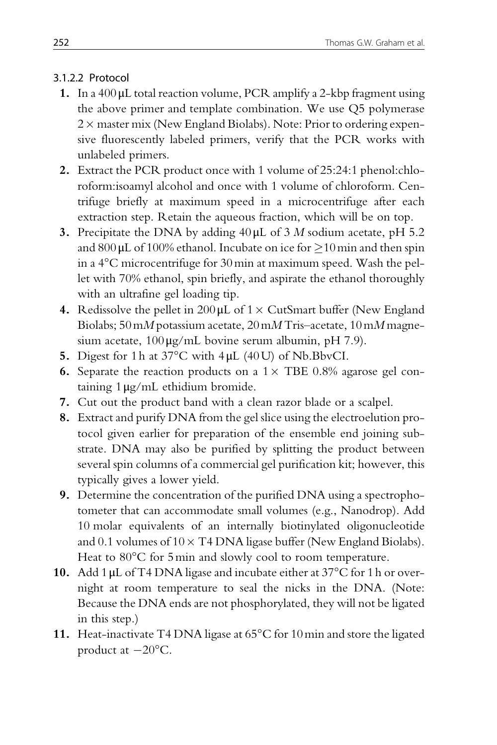#### 3.1.2.2 Protocol

- 1. In a 400  $\mu$ L total reaction volume, PCR amplify a 2-kbp fragment using the above primer and template combination. We use Q5 polymerase  $2 \times$  master mix (New England Biolabs). Note: Prior to ordering expensive fluorescently labeled primers, verify that the PCR works with unlabeled primers.
- 2. Extract the PCR product once with 1 volume of 25:24:1 phenol:chloroform:isoamyl alcohol and once with 1 volume of chloroform. Centrifuge briefly at maximum speed in a microcentrifuge after each extraction step. Retain the aqueous fraction, which will be on top.
- **3.** Precipitate the DNA by adding  $40 \mu L$  of 3 *M* sodium acetate, pH 5.2 and 800 µL of 100% ethanol. Incubate on ice for  $\geq$  10 min and then spin in a 4°C microcentrifuge for 30min at maximum speed. Wash the pellet with 70% ethanol, spin briefly, and aspirate the ethanol thoroughly with an ultrafine gel loading tip.
- 4. Redissolve the pellet in 200  $\mu$ L of 1  $\times$  CutSmart buffer (New England Biolabs;  $50 \text{m}M$  potassium acetate,  $20 \text{m}M$  Tris–acetate,  $10 \text{m}M$  magne– sium acetate,  $100 \mu g/mL$  bovine serum albumin, pH 7.9).
- 5. Digest for 1 h at  $37^{\circ}$ C with  $4 \mu L$  (40 U) of Nb. BbvCI.
- **6.** Separate the reaction products on a  $1 \times$  TBE 0.8% agarose gel containing 1μg/mL ethidium bromide.
- 7. Cut out the product band with a clean razor blade or a scalpel.
- 8. Extract and purify DNA from the gel slice using the electroelution protocol given earlier for preparation of the ensemble end joining substrate. DNA may also be purified by splitting the product between several spin columns of a commercial gel purification kit; however, this typically gives a lower yield.
- 9. Determine the concentration of the purified DNA using a spectrophotometer that can accommodate small volumes (e.g., Nanodrop). Add 10 molar equivalents of an internally biotinylated oligonucleotide and 0.1 volumes of  $10 \times T4$  DNA ligase buffer (New England Biolabs). Heat to 80°C for 5 min and slowly cool to room temperature.
- 10. Add 1  $\mu$ L of T4 DNA ligase and incubate either at 37 $\mathrm{^{\circ}C}$  for 1 h or overnight at room temperature to seal the nicks in the DNA. (Note: Because the DNA ends are not phosphorylated, they will not be ligated in this step.)
- 11. Heat-inactivate T4 DNA ligase at 65°C for 10 min and store the ligated product at  $-20^{\circ}$ C.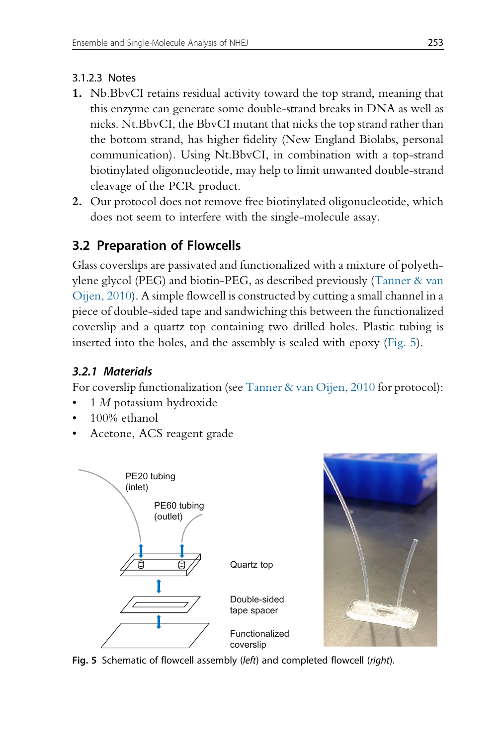## 3.1.2.3 Notes

- 1. Nb.BbvCI retains residual activity toward the top strand, meaning that this enzyme can generate some double-strand breaks in DNA as well as nicks. Nt.BbvCI, the BbvCI mutant that nicks the top strand rather than the bottom strand, has higher fidelity (New England Biolabs, personal communication). Using Nt.BbvCI, in combination with a top-strand biotinylated oligonucleotide, may help to limit unwanted double-strand cleavage of the PCR product.
- 2. Our protocol does not remove free biotinylated oligonucleotide, which does not seem to interfere with the single-molecule assay.

# 3.2 Preparation of Flowcells

Glass coverslips are passivated and functionalized with a mixture of polyethylene glycol (PEG) and biotin-PEG, as described previously [\(Tanner & van](#page-36-0) [Oijen, 2010](#page-36-0)). A simple flowcell is constructed by cutting a small channel in a piece of double-sided tape and sandwiching this between the functionalized coverslip and a quartz top containing two drilled holes. Plastic tubing is inserted into the holes, and the assembly is sealed with epoxy (Fig. 5).

## 3.2.1 Materials

For coverslip functionalization (see [Tanner & van Oijen, 2010](#page-36-0) for protocol):

- $1 M$  potassium hydroxide
- 100% ethanol
- Acetone, ACS reagent grade





Fig. 5 Schematic of flowcell assembly (left) and completed flowcell (right).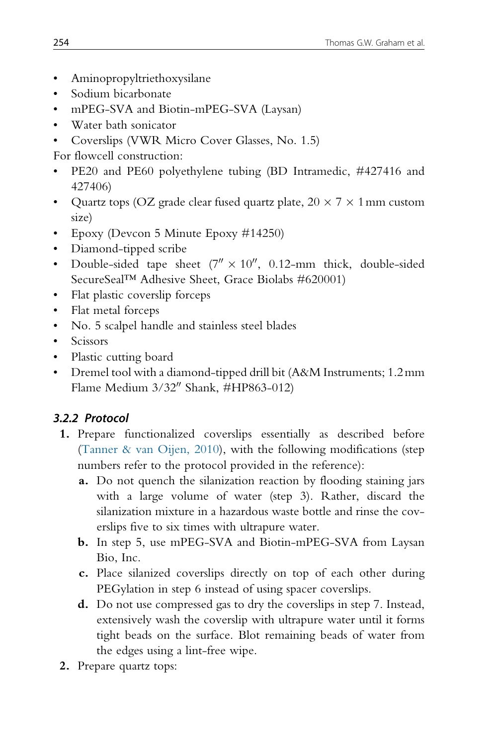- Aminopropyltriethoxysilane
- Sodium bicarbonate
- mPEG-SVA and Biotin-mPEG-SVA (Laysan)
- Water bath sonicator
- Coverslips (VWR Micro Cover Glasses, No. 1.5)

For flowcell construction:

- PE20 and PE60 polyethylene tubing (BD Intramedic, #427416 and 427406)
- Quartz tops (OZ grade clear fused quartz plate,  $20 \times 7 \times 1$  mm custom size)
- Epoxy (Devcon 5 Minute Epoxy #14250)
- Diamond-tipped scribe
- Double-sided tape sheet  $(7'' \times 10''$ , 0.12-mm thick, double-sided SecureSeal™ Adhesive Sheet, Grace Biolabs #620001)
- Flat plastic coverslip forceps
- Flat metal forceps
- No. 5 scalpel handle and stainless steel blades
- Scissors
- Plastic cutting board
- Dremel tool with a diamond-tipped drill bit (A&M Instruments; 1.2mm Flame Medium  $3/32''$  Shank,  $\#HP863-012$ )

#### 3.2.2 Protocol

- 1. Prepare functionalized coverslips essentially as described before (Tanner & [van Oijen, 2010](#page-36-0)), with the following modifications (step numbers refer to the protocol provided in the reference):
	- a. Do not quench the silanization reaction by flooding staining jars with a large volume of water (step 3). Rather, discard the silanization mixture in a hazardous waste bottle and rinse the coverslips five to six times with ultrapure water.
	- **b.** In step 5, use mPEG-SVA and Biotin-mPEG-SVA from Laysan Bio, Inc.
	- c. Place silanized coverslips directly on top of each other during PEGylation in step 6 instead of using spacer coverslips.
	- d. Do not use compressed gas to dry the coverslips in step 7. Instead, extensively wash the coverslip with ultrapure water until it forms tight beads on the surface. Blot remaining beads of water from the edges using a lint-free wipe.
- 2. Prepare quartz tops: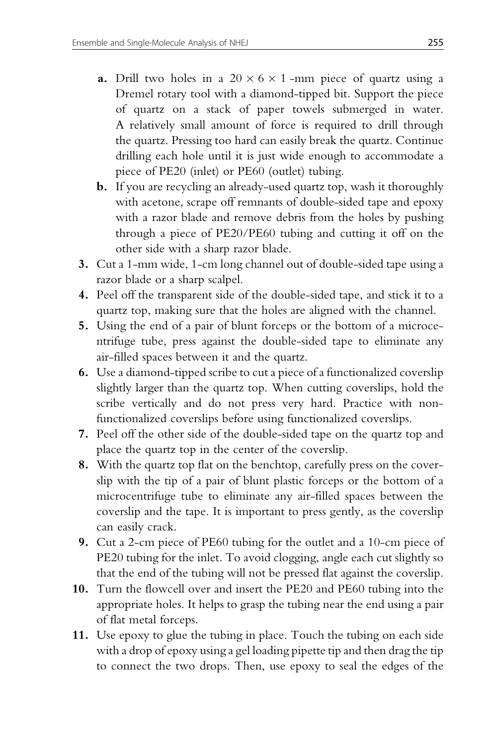- **a.** Drill two holes in a  $20 \times 6 \times 1$  -mm piece of quartz using a Dremel rotary tool with a diamond-tipped bit. Support the piece of quartz on a stack of paper towels submerged in water. A relatively small amount of force is required to drill through the quartz. Pressing too hard can easily break the quartz. Continue drilling each hole until it is just wide enough to accommodate a piece of PE20 (inlet) or PE60 (outlet) tubing.
- **b.** If you are recycling an already-used quartz top, wash it thoroughly with acetone, scrape off remnants of double-sided tape and epoxy with a razor blade and remove debris from the holes by pushing through a piece of PE20/PE60 tubing and cutting it off on the other side with a sharp razor blade.
- 3. Cut a 1-mm wide, 1-cm long channel out of double-sided tape using a razor blade or a sharp scalpel.
- 4. Peel off the transparent side of the double-sided tape, and stick it to a quartz top, making sure that the holes are aligned with the channel.
- 5. Using the end of a pair of blunt forceps or the bottom of a microcentrifuge tube, press against the double-sided tape to eliminate any air-filled spaces between it and the quartz.
- 6. Use a diamond-tipped scribe to cut a piece of a functionalized coverslip slightly larger than the quartz top. When cutting coverslips, hold the scribe vertically and do not press very hard. Practice with nonfunctionalized coverslips before using functionalized coverslips.
- 7. Peel off the other side of the double-sided tape on the quartz top and place the quartz top in the center of the coverslip.
- 8. With the quartz top flat on the benchtop, carefully press on the coverslip with the tip of a pair of blunt plastic forceps or the bottom of a microcentrifuge tube to eliminate any air-filled spaces between the coverslip and the tape. It is important to press gently, as the coverslip can easily crack.
- 9. Cut a 2-cm piece of PE60 tubing for the outlet and a 10-cm piece of PE20 tubing for the inlet. To avoid clogging, angle each cut slightly so that the end of the tubing will not be pressed flat against the coverslip.
- 10. Turn the flowcell over and insert the PE20 and PE60 tubing into the appropriate holes. It helps to grasp the tubing near the end using a pair of flat metal forceps.
- 11. Use epoxy to glue the tubing in place. Touch the tubing on each side with a drop of epoxy using a gel loading pipette tip and then drag the tip to connect the two drops. Then, use epoxy to seal the edges of the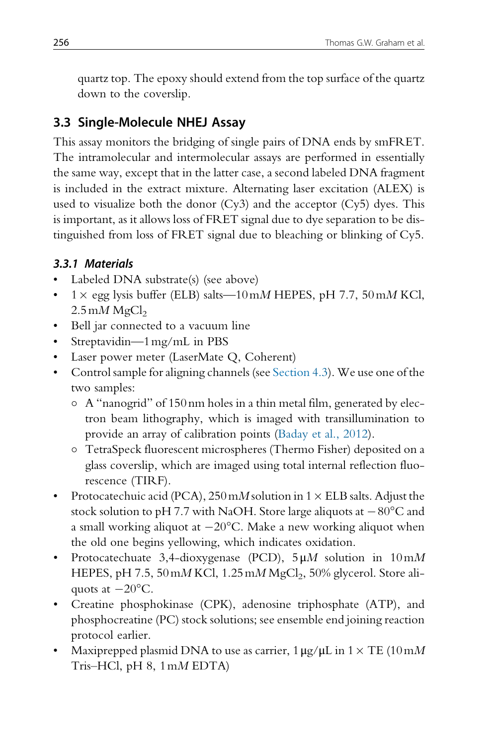quartz top. The epoxy should extend from the top surface of the quartz down to the coverslip.

## 3.3 Single-Molecule NHEJ Assay

This assay monitors the bridging of single pairs of DNA ends by smFRET. The intramolecular and intermolecular assays are performed in essentially the same way, except that in the latter case, a second labeled DNA fragment is included in the extract mixture. Alternating laser excitation (ALEX) is used to visualize both the donor  $(Cy3)$  and the acceptor  $(Cy5)$  dyes. This is important, as it allows loss of FRET signal due to dye separation to be distinguished from loss of FRET signal due to bleaching or blinking of Cy5.

#### 3.3.1 Materials

- Labeled DNA substrate(s) (see above)
- $1 \times$  egg lysis buffer (ELB) salts— $10 \text{ mM HEPES}$ , pH 7.7,  $50 \text{ mM KCl}$ ,  $2.5 \text{m}M$  MgCl<sub>2</sub>
- Bell jar connected to a vacuum line
- Streptavidin—1 mg/mL in PBS
- Laser power meter (LaserMate Q, Coherent)
- Control sample for aligning channels (see [Section](#page-28-0) 4.3). We use one of the two samples:
	- A "nanogrid" of 150 nm holes in a thin metal film, generated by electron beam lithography, which is imaged with transillumination to provide an array of calibration points ([Baday et al., 2012\)](#page-33-0).
	- TetraSpeck fluorescent microspheres (Thermo Fisher) deposited on a glass coverslip, which are imaged using total internal reflection fluorescence (TIRF).
- Protocatechuic acid (PCA),  $250 \text{ m}$  solution in 1  $\times$  ELB salts. Adjust the stock solution to pH 7.7 with NaOH. Store large aliquots at  $-80^{\circ}$ C and a small working aliquot at  $-20^{\circ}$ C. Make a new working aliquot when the old one begins yellowing, which indicates oxidation.
- Protocatechuate 3,4-dioxygenase (PCD),  $5 \mu M$  solution in  $10 \text{m}M$ HEPES, pH 7.5,  $50 \text{ m}$  KCl,  $1.25 \text{ m}$  M MgCl<sub>2</sub>,  $50\%$  glycerol. Store aliquots at  $-20^{\circ}$ C.
- Creatine phosphokinase (CPK), adenosine triphosphate (ATP), and phosphocreatine (PC) stock solutions; see ensemble end joining reaction protocol earlier.
- Maxiprepped plasmid DNA to use as carrier,  $1 \mu g / \mu L$  in  $1 \times TE$  ( $10 \text{m}M$ ) Tris–HCl, pH 8, 1mM EDTA)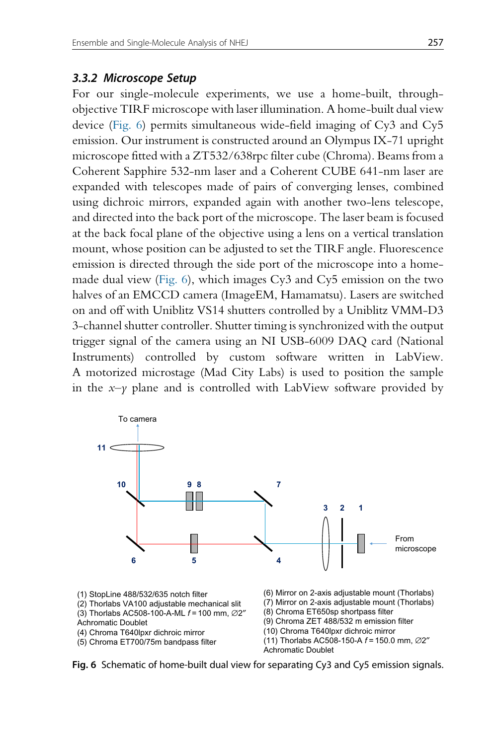#### 3.3.2 Microscope Setup

For our single-molecule experiments, we use a home-built, throughobjective TIRF microscope with laser illumination. A home-built dual view device (Fig. 6) permits simultaneous wide-field imaging of Cy3 and Cy5 emission. Our instrument is constructed around an Olympus IX-71 upright microscope fitted with a ZT532/638rpc filter cube (Chroma). Beams from a Coherent Sapphire 532-nm laser and a Coherent CUBE 641-nm laser are expanded with telescopes made of pairs of converging lenses, combined using dichroic mirrors, expanded again with another two-lens telescope, and directed into the back port of the microscope. The laser beam is focused at the back focal plane of the objective using a lens on a vertical translation mount, whose position can be adjusted to set the TIRF angle. Fluorescence emission is directed through the side port of the microscope into a homemade dual view (Fig. 6), which images Cy3 and Cy5 emission on the two halves of an EMCCD camera (ImageEM, Hamamatsu). Lasers are switched on and off with Uniblitz VS14 shutters controlled by a Uniblitz VMM-D3 3-channel shutter controller. Shutter timing is synchronized with the output trigger signal of the camera using an NI USB-6009 DAQ card (National Instruments) controlled by custom software written in LabView. A motorized microstage (Mad City Labs) is used to position the sample in the  $x-y$  plane and is controlled with LabView software provided by



Fig. 6 Schematic of home-built dual view for separating Cy3 and Cy5 emission signals.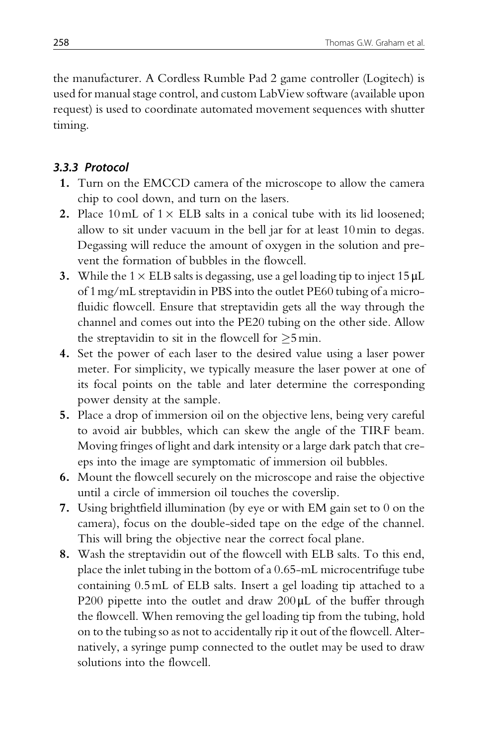the manufacturer. A Cordless Rumble Pad 2 game controller (Logitech) is used for manual stage control, and custom LabView software (available upon request) is used to coordinate automated movement sequences with shutter timing.

#### 3.3.3 Protocol

- 1. Turn on the EMCCD camera of the microscope to allow the camera chip to cool down, and turn on the lasers.
- **2.** Place 10mL of  $1 \times$  ELB salts in a conical tube with its lid loosened; allow to sit under vacuum in the bell jar for at least 10min to degas. Degassing will reduce the amount of oxygen in the solution and prevent the formation of bubbles in the flowcell.
- **3.** While the  $1 \times ELB$  salts is degassing, use a gel loading tip to inject  $15 \mu L$ of 1mg/mL streptavidin in PBS into the outlet PE60 tubing of a microfluidic flowcell. Ensure that streptavidin gets all the way through the channel and comes out into the PE20 tubing on the other side. Allow the streptavidin to sit in the flowcell for  $\geq$ 5 min.
- 4. Set the power of each laser to the desired value using a laser power meter. For simplicity, we typically measure the laser power at one of its focal points on the table and later determine the corresponding power density at the sample.
- 5. Place a drop of immersion oil on the objective lens, being very careful to avoid air bubbles, which can skew the angle of the TIRF beam. Moving fringes of light and dark intensity or a large dark patch that creeps into the image are symptomatic of immersion oil bubbles.
- 6. Mount the flowcell securely on the microscope and raise the objective until a circle of immersion oil touches the coverslip.
- 7. Using brightfield illumination (by eye or with EM gain set to 0 on the camera), focus on the double-sided tape on the edge of the channel. This will bring the objective near the correct focal plane.
- 8. Wash the streptavidin out of the flowcell with ELB salts. To this end, place the inlet tubing in the bottom of a 0.65-mL microcentrifuge tube containing 0.5mL of ELB salts. Insert a gel loading tip attached to a P200 pipette into the outlet and draw  $200 \mu L$  of the buffer through the flowcell. When removing the gel loading tip from the tubing, hold on to the tubing so as not to accidentally rip it out of the flowcell. Alternatively, a syringe pump connected to the outlet may be used to draw solutions into the flowcell.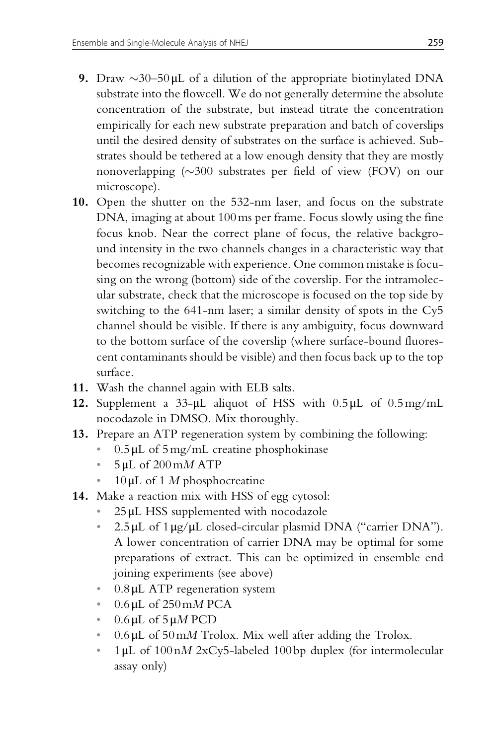- **9.** Draw  $\sim$ 30–50 µL of a dilution of the appropriate biotinylated DNA substrate into the flowcell. We do not generally determine the absolute concentration of the substrate, but instead titrate the concentration empirically for each new substrate preparation and batch of coverslips until the desired density of substrates on the surface is achieved. Substrates should be tethered at a low enough density that they are mostly nonoverlapping  $(\sim]300$  substrates per field of view (FOV) on our microscope).
- 10. Open the shutter on the 532-nm laser, and focus on the substrate DNA, imaging at about 100ms per frame. Focus slowly using the fine focus knob. Near the correct plane of focus, the relative background intensity in the two channels changes in a characteristic way that becomes recognizable with experience. One common mistake is focusing on the wrong (bottom) side of the coverslip. For the intramolecular substrate, check that the microscope is focused on the top side by switching to the 641-nm laser; a similar density of spots in the Cy5 channel should be visible. If there is any ambiguity, focus downward to the bottom surface of the coverslip (where surface-bound fluorescent contaminants should be visible) and then focus back up to the top surface.
- 11. Wash the channel again with ELB salts.
- 12. Supplement a 33-μL aliquot of HSS with 0.5μL of 0.5mg/mL nocodazole in DMSO. Mix thoroughly.
- 13. Prepare an ATP regeneration system by combining the following:
	- $0.5 \mu L$  of  $5 \text{ mg/mL}$  creatine phosphokinase
	- $5 \mu L$  of  $200 \text{m}M$  ATP
	- 10μL of 1 *M* phosphocreatine
- 14. Make a reaction mix with HSS of egg cytosol:
	- 25μL HSS supplemented with nocodazole
	- $2.5 \mu L$  of 1  $\mu$ g/ $\mu$ L closed-circular plasmid DNA ("carrier DNA"). A lower concentration of carrier DNA may be optimal for some preparations of extract. This can be optimized in ensemble end joining experiments (see above)
	- 0.8μL ATP regeneration system
	- $0.6$  μL of 250 mM PCA
	- 0.6 μL of  $5 \mu M$  PCD
	- $0.6 \mu L$  of 50 mM Trolox. Mix well after adding the Trolox.
	- $1 \mu$ L of  $100 \text{ n}$ M  $2 \text{x}$ Cy5-labeled  $100 \text{ bp}$  duplex (for intermolecular assay only)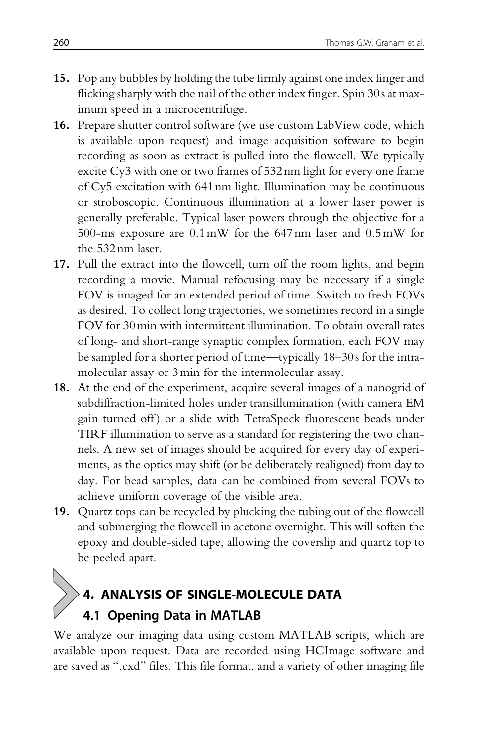- 15. Pop any bubbles by holding the tube firmly against one index finger and flicking sharply with the nail of the other index finger. Spin 30 s at maximum speed in a microcentrifuge.
- 16. Prepare shutter control software (we use custom LabView code, which is available upon request) and image acquisition software to begin recording as soon as extract is pulled into the flowcell. We typically excite Cy3 with one or two frames of 532 nm light for every one frame of Cy5 excitation with 641 nm light. Illumination may be continuous or stroboscopic. Continuous illumination at a lower laser power is generally preferable. Typical laser powers through the objective for a 500-ms exposure are 0.1mW for the 647 nm laser and 0.5mW for the 532 nm laser.
- 17. Pull the extract into the flowcell, turn off the room lights, and begin recording a movie. Manual refocusing may be necessary if a single FOV is imaged for an extended period of time. Switch to fresh FOVs as desired. To collect long trajectories, we sometimes record in a single FOV for 30 min with intermittent illumination. To obtain overall rates of long- and short-range synaptic complex formation, each FOV may be sampled for a shorter period of time—typically 18–30 s for the intramolecular assay or 3min for the intermolecular assay.
- 18. At the end of the experiment, acquire several images of a nanogrid of subdiffraction-limited holes under transillumination (with camera EM gain turned off ) or a slide with TetraSpeck fluorescent beads under TIRF illumination to serve as a standard for registering the two channels. A new set of images should be acquired for every day of experiments, as the optics may shift (or be deliberately realigned) from day to day. For bead samples, data can be combined from several FOVs to achieve uniform coverage of the visible area.
- 19. Quartz tops can be recycled by plucking the tubing out of the flowcell and submerging the flowcell in acetone overnight. This will soften the epoxy and double-sided tape, allowing the coverslip and quartz top to be peeled apart.

# 4. ANALYSIS OF SINGLE-MOLECULE DATA 4.1 Opening Data in MATLAB

We analyze our imaging data using custom MATLAB scripts, which are available upon request. Data are recorded using HCImage software and are saved as ".cxd" files. This file format, and a variety of other imaging file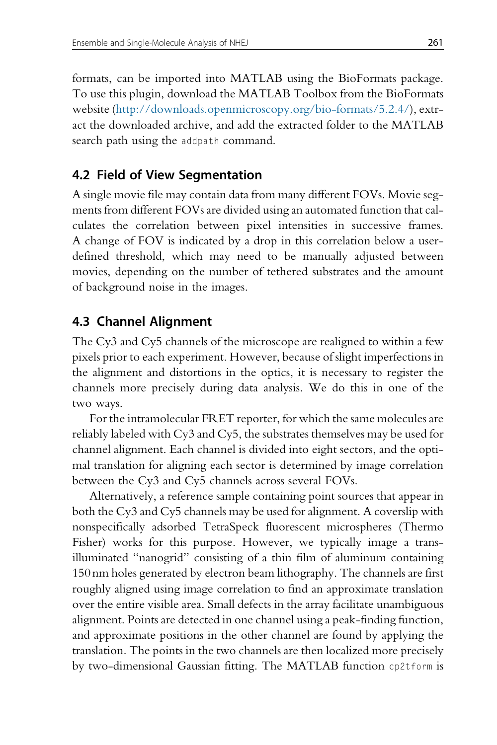<span id="page-28-0"></span>formats, can be imported into MATLAB using the BioFormats package. To use this plugin, download the MATLAB Toolbox from the BioFormats website (<http://downloads.openmicroscopy.org/bio-formats/5.2.4/>), extract the downloaded archive, and add the extracted folder to the MATLAB search path using the addpath command.

## 4.2 Field of View Segmentation

A single movie file may contain data from many different FOVs. Movie segments from different FOVs are divided using an automated function that calculates the correlation between pixel intensities in successive frames. A change of FOV is indicated by a drop in this correlation below a userdefined threshold, which may need to be manually adjusted between movies, depending on the number of tethered substrates and the amount of background noise in the images.

#### 4.3 Channel Alignment

The Cy3 and Cy5 channels of the microscope are realigned to within a few pixels prior to each experiment. However, because of slight imperfections in the alignment and distortions in the optics, it is necessary to register the channels more precisely during data analysis. We do this in one of the two ways.

For the intramolecular FRET reporter, for which the same molecules are reliably labeled with Cy3 and Cy5, the substrates themselves may be used for channel alignment. Each channel is divided into eight sectors, and the optimal translation for aligning each sector is determined by image correlation between the Cy3 and Cy5 channels across several FOVs.

Alternatively, a reference sample containing point sources that appear in both the Cy3 and Cy5 channels may be used for alignment. A coverslip with nonspecifically adsorbed TetraSpeck fluorescent microspheres (Thermo Fisher) works for this purpose. However, we typically image a transilluminated "nanogrid" consisting of a thin film of aluminum containing 150 nm holes generated by electron beam lithography. The channels are first roughly aligned using image correlation to find an approximate translation over the entire visible area. Small defects in the array facilitate unambiguous alignment. Points are detected in one channel using a peak-finding function, and approximate positions in the other channel are found by applying the translation. The points in the two channels are then localized more precisely by two-dimensional Gaussian fitting. The MATLAB function cp2tform is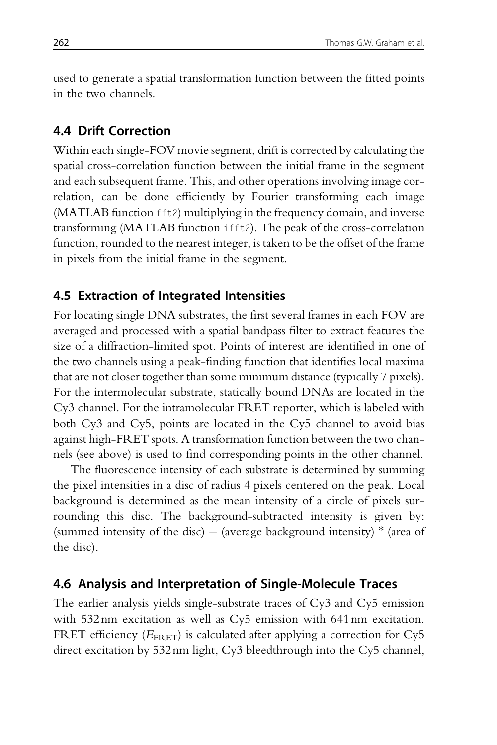used to generate a spatial transformation function between the fitted points in the two channels.

#### 4.4 Drift Correction

Within each single-FOV movie segment, drift is corrected by calculating the spatial cross-correlation function between the initial frame in the segment and each subsequent frame. This, and other operations involving image correlation, can be done efficiently by Fourier transforming each image (MATLAB function fft2) multiplying in the frequency domain, and inverse transforming (MATLAB function ifft2). The peak of the cross-correlation function, rounded to the nearest integer, is taken to be the offset of the frame in pixels from the initial frame in the segment.

#### 4.5 Extraction of Integrated Intensities

For locating single DNA substrates, the first several frames in each FOV are averaged and processed with a spatial bandpass filter to extract features the size of a diffraction-limited spot. Points of interest are identified in one of the two channels using a peak-finding function that identifies local maxima that are not closer together than some minimum distance (typically 7 pixels). For the intermolecular substrate, statically bound DNAs are located in the Cy3 channel. For the intramolecular FRET reporter, which is labeled with both Cy3 and Cy5, points are located in the Cy5 channel to avoid bias against high-FRET spots. A transformation function between the two channels (see above) is used to find corresponding points in the other channel.

The fluorescence intensity of each substrate is determined by summing the pixel intensities in a disc of radius 4 pixels centered on the peak. Local background is determined as the mean intensity of a circle of pixels surrounding this disc. The background-subtracted intensity is given by: (summed intensity of the disc)  $-$  (average background intensity)  $*$  (area of the disc).

#### 4.6 Analysis and Interpretation of Single-Molecule Traces

The earlier analysis yields single-substrate traces of Cy3 and Cy5 emission with 532 nm excitation as well as Cy5 emission with 641 nm excitation. FRET efficiency  $(E_{\text{FRET}})$  is calculated after applying a correction for Cy5 direct excitation by 532 nm light, Cy3 bleedthrough into the Cy5 channel,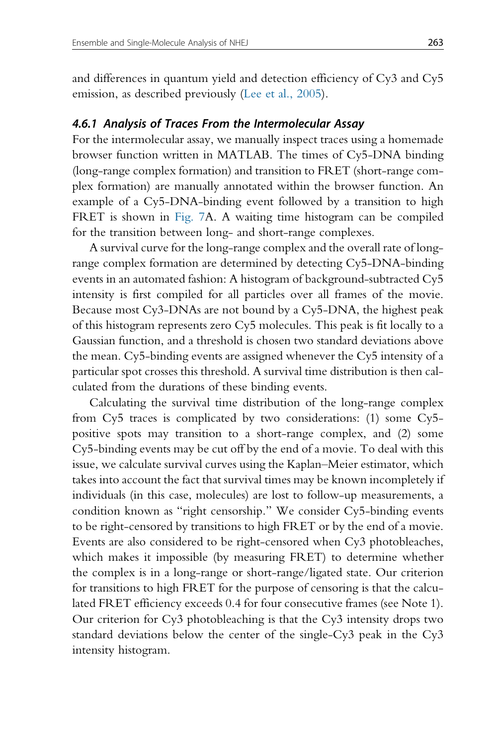and differences in quantum yield and detection efficiency of Cy3 and Cy5 emission, as described previously ([Lee et al., 2005](#page-35-0)).

#### 4.6.1 Analysis of Traces From the Intermolecular Assay

For the intermolecular assay, we manually inspect traces using a homemade browser function written in MATLAB. The times of Cy5-DNA binding (long-range complex formation) and transition to FRET (short-range complex formation) are manually annotated within the browser function. An example of a Cy5-DNA-binding event followed by a transition to high FRET is shown in [Fig. 7](#page-31-0)A. A waiting time histogram can be compiled for the transition between long- and short-range complexes.

A survival curve for the long-range complex and the overall rate of longrange complex formation are determined by detecting Cy5-DNA-binding events in an automated fashion: A histogram of background-subtracted Cy5 intensity is first compiled for all particles over all frames of the movie. Because most Cy3-DNAs are not bound by a Cy5-DNA, the highest peak of this histogram represents zero Cy5 molecules. This peak is fit locally to a Gaussian function, and a threshold is chosen two standard deviations above the mean. Cy5-binding events are assigned whenever the Cy5 intensity of a particular spot crosses this threshold. A survival time distribution is then calculated from the durations of these binding events.

Calculating the survival time distribution of the long-range complex from Cy5 traces is complicated by two considerations: (1) some Cy5 positive spots may transition to a short-range complex, and (2) some Cy5-binding events may be cut off by the end of a movie. To deal with this issue, we calculate survival curves using the Kaplan–Meier estimator, which takes into account the fact that survival times may be known incompletely if individuals (in this case, molecules) are lost to follow-up measurements, a condition known as "right censorship." We consider Cy5-binding events to be right-censored by transitions to high FRET or by the end of a movie. Events are also considered to be right-censored when Cy3 photobleaches, which makes it impossible (by measuring FRET) to determine whether the complex is in a long-range or short-range/ligated state. Our criterion for transitions to high FRET for the purpose of censoring is that the calculated FRET efficiency exceeds 0.4 for four consecutive frames (see Note 1). Our criterion for Cy3 photobleaching is that the Cy3 intensity drops two standard deviations below the center of the single-Cy3 peak in the Cy3 intensity histogram.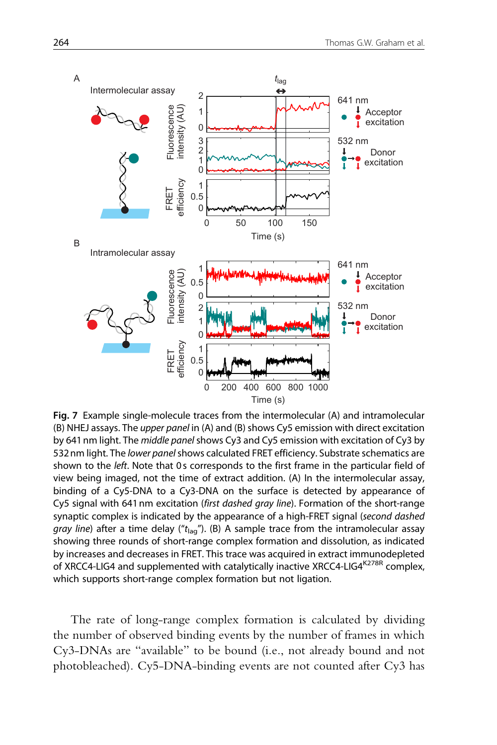<span id="page-31-0"></span>

Fig. 7 Example single-molecule traces from the intermolecular (A) and intramolecular (B) NHEJ assays. The upper panel in (A) and (B) shows Cy5 emission with direct excitation by 641 nm light. The middle panel shows Cy3 and Cy5 emission with excitation of Cy3 by 532 nm light. The lower panel shows calculated FRET efficiency. Substrate schematics are shown to the *left*. Note that 0s corresponds to the first frame in the particular field of view being imaged, not the time of extract addition. (A) In the intermolecular assay, binding of a Cy5-DNA to a Cy3-DNA on the surface is detected by appearance of Cy5 signal with 641 nm excitation (first dashed gray line). Formation of the short-range synaptic complex is indicated by the appearance of a high-FRET signal (second dashed gray line) after a time delay (" $t_{\text{lag}}$ "). (B) A sample trace from the intramolecular assay showing three rounds of short-range complex formation and dissolution, as indicated by increases and decreases in FRET. This trace was acquired in extract immunodepleted of XRCC4-LIG4 and supplemented with catalytically inactive XRCC4-LIG4 $^{K278R}$  complex, which supports short-range complex formation but not ligation.

The rate of long-range complex formation is calculated by dividing the number of observed binding events by the number of frames in which Cy3-DNAs are "available" to be bound (i.e., not already bound and not photobleached). Cy5-DNA-binding events are not counted after Cy3 has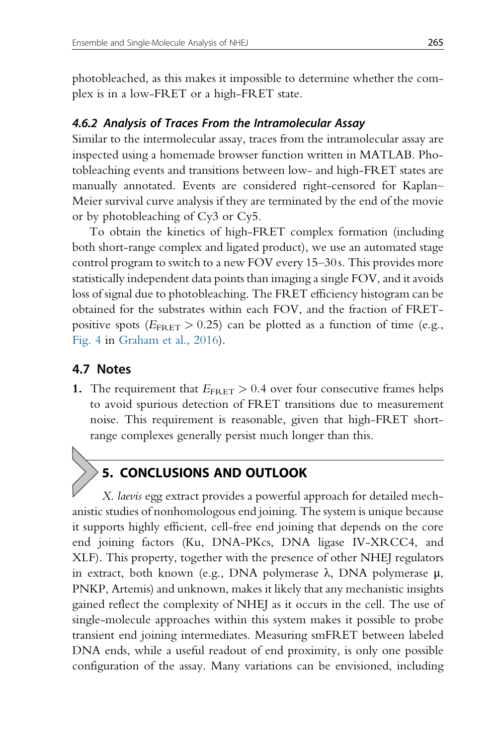photobleached, as this makes it impossible to determine whether the complex is in a low-FRET or a high-FRET state.

#### 4.6.2 Analysis of Traces From the Intramolecular Assay

Similar to the intermolecular assay, traces from the intramolecular assay are inspected using a homemade browser function written in MATLAB. Photobleaching events and transitions between low- and high-FRET states are manually annotated. Events are considered right-censored for Kaplan– Meier survival curve analysis if they are terminated by the end of the movie or by photobleaching of Cy3 or Cy5.

To obtain the kinetics of high-FRET complex formation (including both short-range complex and ligated product), we use an automated stage control program to switch to a new FOV every 15–30 s. This provides more statistically independent data points than imaging a single FOV, and it avoids loss of signal due to photobleaching. The FRET efficiency histogram can be obtained for the substrates within each FOV, and the fraction of FRETpositive spots ( $E_{\text{FRET}} > 0.25$ ) can be plotted as a function of time (e.g., [Fig. 4](#page-17-0) in [Graham et al., 2016\)](#page-34-0).

#### 4.7 Notes

**1.** The requirement that  $E_{\text{FR ET}} > 0.4$  over four consecutive frames helps to avoid spurious detection of FRET transitions due to measurement noise. This requirement is reasonable, given that high-FRET shortrange complexes generally persist much longer than this.

# 5. CONCLUSIONS AND OUTLOOK

X. laevis egg extract provides a powerful approach for detailed mechanistic studies of nonhomologous end joining. The system is unique because it supports highly efficient, cell-free end joining that depends on the core end joining factors (Ku, DNA-PKcs, DNA ligase IV-XRCC4, and XLF). This property, together with the presence of other NHEJ regulators in extract, both known (e.g., DNA polymerase λ, DNA polymerase  $\mu$ , PNKP, Artemis) and unknown, makes it likely that any mechanistic insights gained reflect the complexity of NHEJ as it occurs in the cell. The use of single-molecule approaches within this system makes it possible to probe transient end joining intermediates. Measuring smFRET between labeled DNA ends, while a useful readout of end proximity, is only one possible configuration of the assay. Many variations can be envisioned, including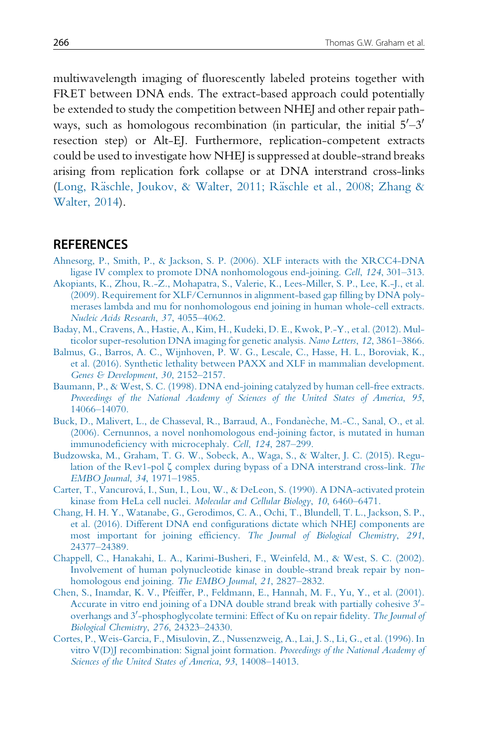<span id="page-33-0"></span>multiwavelength imaging of fluorescently labeled proteins together with FRET between DNA ends. The extract-based approach could potentially be extended to study the competition between NHEJ and other repair pathways, such as homologous recombination (in particular, the initial  $5'-3'$ resection step) or Alt-EJ. Furthermore, replication-competent extracts could be used to investigate how NHEJ is suppressed at double-strand breaks arising from replication fork collapse or at DNA interstrand cross-links ([Long, R](#page-35-0)äschle, Joukov, [& Walter, 2011; R](#page-35-0)äschle et al., 2008; Zhang & [Walter, 2014](#page-35-0)).

#### **REFERENCES**

- [Ahnesorg, P., Smith, P., & Jackson, S. P. \(2006\). XLF interacts with the XRCC4-DNA](http://refhub.elsevier.com/S0076-6879(17)30118-0/rf0005) [ligase IV complex to promote DNA nonhomologous end-joining.](http://refhub.elsevier.com/S0076-6879(17)30118-0/rf0005) Cell, 124, 301–313.
- [Akopiants, K., Zhou, R.-Z., Mohapatra, S., Valerie, K., Lees-Miller, S. P., Lee, K.-J., et al.](http://refhub.elsevier.com/S0076-6879(17)30118-0/rf0010) [\(2009\). Requirement for XLF/Cernunnos in alignment-based gap filling by DNA poly](http://refhub.elsevier.com/S0076-6879(17)30118-0/rf0010)[merases lambda and mu for nonhomologous end joining in human whole-cell extracts.](http://refhub.elsevier.com/S0076-6879(17)30118-0/rf0010) [Nucleic Acids Research](http://refhub.elsevier.com/S0076-6879(17)30118-0/rf0010), 37, 4055–4062.
- [Baday, M., Cravens, A., Hastie, A., Kim, H., Kudeki, D. E., Kwok, P.-Y., et al. \(2012\). Mul](http://refhub.elsevier.com/S0076-6879(17)30118-0/rf0015)[ticolor super-resolution DNA imaging for genetic analysis.](http://refhub.elsevier.com/S0076-6879(17)30118-0/rf0015) Nano Letters, 12, 3861–3866.
- [Balmus, G., Barros, A. C., Wijnhoven, P. W. G., Lescale, C., Hasse, H. L., Boroviak, K.,](http://refhub.elsevier.com/S0076-6879(17)30118-0/rf0020) [et al. \(2016\). Synthetic lethality between PAXX and XLF in mammalian development.](http://refhub.elsevier.com/S0076-6879(17)30118-0/rf0020) [Genes & Development](http://refhub.elsevier.com/S0076-6879(17)30118-0/rf0020), 30, 2152–2157.
- [Baumann, P., & West, S. C. \(1998\). DNA end-joining catalyzed by human cell-free extracts.](http://refhub.elsevier.com/S0076-6879(17)30118-0/rf0025) [Proceedings of the National Academy of Sciences of the United States of America](http://refhub.elsevier.com/S0076-6879(17)30118-0/rf0025), 95, 14066–[14070.](http://refhub.elsevier.com/S0076-6879(17)30118-0/rf0025)
- Buck, D., Malivert, L., de Chasseval, R., Barraud, A., Fondanèche, M.-C., Sanal, O., et al. [\(2006\). Cernunnos, a novel nonhomologous end-joining factor, is mutated in human](http://refhub.elsevier.com/S0076-6879(17)30118-0/rf0030) [immunodeficiency with microcephaly.](http://refhub.elsevier.com/S0076-6879(17)30118-0/rf0030) Cell, 124, 287–299.
- [Budzowska, M., Graham, T. G. W., Sobeck, A., Waga, S., & Walter, J. C. \(2015\). Regu](http://refhub.elsevier.com/S0076-6879(17)30118-0/rf0035)[lation of the Rev1-pol](http://refhub.elsevier.com/S0076-6879(17)30118-0/rf0035) ζ [complex during bypass of a DNA interstrand cross-link.](http://refhub.elsevier.com/S0076-6879(17)30118-0/rf0035) The [EMBO Journal](http://refhub.elsevier.com/S0076-6879(17)30118-0/rf0035), 34, 1971–1985.
- Carter, T., Vancurová, I., Sun, I., Lou, W., & DeLeon, S. (1990). A DNA-activated protein [kinase from HeLa cell nuclei.](http://refhub.elsevier.com/S0076-6879(17)30118-0/rf0040) Molecular and Cellular Biology, 10, 6460–6471.
- [Chang, H. H. Y., Watanabe, G., Gerodimos, C. A., Ochi, T., Blundell, T. L., Jackson, S. P.,](http://refhub.elsevier.com/S0076-6879(17)30118-0/rf0045) [et al. \(2016\). Different DNA end configurations dictate which NHEJ components are](http://refhub.elsevier.com/S0076-6879(17)30118-0/rf0045) [most important for joining efficiency.](http://refhub.elsevier.com/S0076-6879(17)30118-0/rf0045) The Journal of Biological Chemistry, 291, 24377–[24389.](http://refhub.elsevier.com/S0076-6879(17)30118-0/rf0045)
- [Chappell, C., Hanakahi, L. A., Karimi-Busheri, F., Weinfeld, M., & West, S. C. \(2002\).](http://refhub.elsevier.com/S0076-6879(17)30118-0/rf0050) [Involvement of human polynucleotide kinase in double-strand break repair by non](http://refhub.elsevier.com/S0076-6879(17)30118-0/rf0050)[homologous end joining.](http://refhub.elsevier.com/S0076-6879(17)30118-0/rf0050) The EMBO Journal, 21, 2827–2832.
- [Chen, S., Inamdar, K. V., Pfeiffer, P., Feldmann, E., Hannah, M. F., Yu, Y., et al. \(2001\).](http://refhub.elsevier.com/S0076-6879(17)30118-0/rf0055) [Accurate in vitro end joining of a DNA double strand break with partially cohesive 3](http://refhub.elsevier.com/S0076-6879(17)30118-0/rf0055)' [overhangs and 3](http://refhub.elsevier.com/S0076-6879(17)30118-0/rf0055)'[-phosphoglycolate termini: Effect of Ku on repair fidelity.](http://refhub.elsevier.com/S0076-6879(17)30118-0/rf0055) The Journal of [Biological Chemistry](http://refhub.elsevier.com/S0076-6879(17)30118-0/rf0055), 276, 24323–24330.
- [Cortes, P., Weis-Garcia, F., Misulovin, Z., Nussenzweig, A., Lai, J. S., Li, G., et al. \(1996\). In](http://refhub.elsevier.com/S0076-6879(17)30118-0/rf0060) [vitro V\(D\)J recombination: Signal joint formation.](http://refhub.elsevier.com/S0076-6879(17)30118-0/rf0060) Proceedings of the National Academy of [Sciences of the United States of America](http://refhub.elsevier.com/S0076-6879(17)30118-0/rf0060), 93, 14008–14013.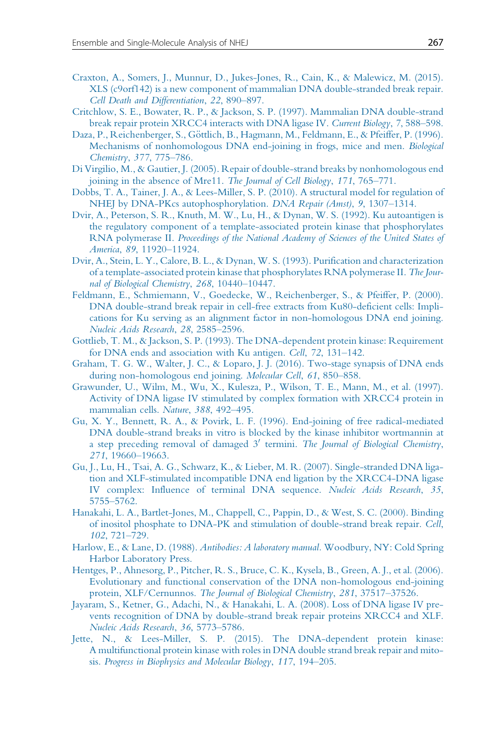- <span id="page-34-0"></span>[Craxton, A., Somers, J., Munnur, D., Jukes-Jones, R., Cain, K., & Malewicz, M. \(2015\).](http://refhub.elsevier.com/S0076-6879(17)30118-0/rf0065) [XLS \(c9orf142\) is a new component of mammalian DNA double-stranded break repair.](http://refhub.elsevier.com/S0076-6879(17)30118-0/rf0065) [Cell Death and Differentiation](http://refhub.elsevier.com/S0076-6879(17)30118-0/rf0065), 22, 890–897.
- [Critchlow, S. E., Bowater, R. P., & Jackson, S. P. \(1997\). Mammalian DNA double-strand](http://refhub.elsevier.com/S0076-6879(17)30118-0/rf0070) [break repair protein XRCC4 interacts with DNA ligase IV.](http://refhub.elsevier.com/S0076-6879(17)30118-0/rf0070) Current Biology, 7, 588–598.
- [Daza, P., Reichenberger, S., G](http://refhub.elsevier.com/S0076-6879(17)30118-0/rf0075)ö[ttlich, B., Hagmann, M., Feldmann, E., & Pfeiffer, P. \(1996\).](http://refhub.elsevier.com/S0076-6879(17)30118-0/rf0075) [Mechanisms of nonhomologous DNA end-joining in frogs, mice and men.](http://refhub.elsevier.com/S0076-6879(17)30118-0/rf0075) Biological [Chemistry](http://refhub.elsevier.com/S0076-6879(17)30118-0/rf0075), 377, 775–786.
- [Di Virgilio, M., & Gautier, J. \(2005\). Repair of double-strand breaks by nonhomologous end](http://refhub.elsevier.com/S0076-6879(17)30118-0/rf0080) [joining in the absence of Mre11.](http://refhub.elsevier.com/S0076-6879(17)30118-0/rf0080) The Journal of Cell Biology, 171, 765–771.
- [Dobbs, T. A., Tainer, J. A., & Lees-Miller, S. P. \(2010\). A structural model for regulation of](http://refhub.elsevier.com/S0076-6879(17)30118-0/rf0085) [NHEJ by DNA-PKcs autophosphorylation.](http://refhub.elsevier.com/S0076-6879(17)30118-0/rf0085) DNA Repair (Amst), 9, 1307-1314.
- [Dvir, A., Peterson, S. R., Knuth, M. W., Lu, H., & Dynan, W. S. \(1992\). Ku autoantigen is](http://refhub.elsevier.com/S0076-6879(17)30118-0/rf0090) [the regulatory component of a template-associated protein kinase that phosphorylates](http://refhub.elsevier.com/S0076-6879(17)30118-0/rf0090) RNA polymerase II. [Proceedings of the National Academy of Sciences of the United States of](http://refhub.elsevier.com/S0076-6879(17)30118-0/rf0090) America, 89[, 11920](http://refhub.elsevier.com/S0076-6879(17)30118-0/rf0090)–11924.
- [Dvir, A., Stein, L. Y., Calore, B. L., & Dynan, W. S. \(1993\). Purification and characterization](http://refhub.elsevier.com/S0076-6879(17)30118-0/rf0095) [of a template-associated protein kinase that phosphorylates RNA polymerase II.](http://refhub.elsevier.com/S0076-6879(17)30118-0/rf0095) The Jour[nal of Biological Chemistry](http://refhub.elsevier.com/S0076-6879(17)30118-0/rf0095), 268, 10440–10447.
- [Feldmann, E., Schmiemann, V., Goedecke, W., Reichenberger, S., & Pfeiffer, P. \(2000\).](http://refhub.elsevier.com/S0076-6879(17)30118-0/rf0100) [DNA double-strand break repair in cell-free extracts from Ku80-deficient cells: Impli](http://refhub.elsevier.com/S0076-6879(17)30118-0/rf0100)[cations for Ku serving as an alignment factor in non-homologous DNA end joining.](http://refhub.elsevier.com/S0076-6879(17)30118-0/rf0100) [Nucleic Acids Research](http://refhub.elsevier.com/S0076-6879(17)30118-0/rf0100), 28, 2585–2596.
- [Gottlieb, T. M., & Jackson, S. P. \(1993\). The DNA-dependent protein kinase: Requirement](http://refhub.elsevier.com/S0076-6879(17)30118-0/rf0105) [for DNA ends and association with Ku antigen.](http://refhub.elsevier.com/S0076-6879(17)30118-0/rf0105) Cell, 72, 131–142.
- [Graham, T. G. W., Walter, J. C., & Loparo, J. J. \(2016\). Two-stage synapsis of DNA ends](http://refhub.elsevier.com/S0076-6879(17)30118-0/rf0110) [during non-homologous end joining.](http://refhub.elsevier.com/S0076-6879(17)30118-0/rf0110) Molecular Cell, 61, 850–858.
- [Grawunder, U., Wilm, M., Wu, X., Kulesza, P., Wilson, T. E., Mann, M., et al. \(1997\).](http://refhub.elsevier.com/S0076-6879(17)30118-0/rf0115) [Activity of DNA ligase IV stimulated by complex formation with XRCC4 protein in](http://refhub.elsevier.com/S0076-6879(17)30118-0/rf0115) [mammalian cells.](http://refhub.elsevier.com/S0076-6879(17)30118-0/rf0115) Nature, 388, 492–495.
- [Gu, X. Y., Bennett, R. A., & Povirk, L. F. \(1996\). End-joining of free radical-mediated](http://refhub.elsevier.com/S0076-6879(17)30118-0/rf0120) [DNA double-strand breaks in vitro is blocked by the kinase inhibitor wortmannin at](http://refhub.elsevier.com/S0076-6879(17)30118-0/rf0120) a step preceding removal of damaged  $3'$  termini. [The Journal of Biological Chemistry](http://refhub.elsevier.com/S0076-6879(17)30118-0/rf0120), 271[, 19660](http://refhub.elsevier.com/S0076-6879(17)30118-0/rf0120)–19663.
- [Gu, J., Lu, H., Tsai, A. G., Schwarz, K., & Lieber, M. R. \(2007\). Single-stranded DNA liga](http://refhub.elsevier.com/S0076-6879(17)30118-0/rf0125)[tion and XLF-stimulated incompatible DNA end ligation by the XRCC4-DNA ligase](http://refhub.elsevier.com/S0076-6879(17)30118-0/rf0125) [IV complex: Influence of terminal DNA sequence.](http://refhub.elsevier.com/S0076-6879(17)30118-0/rf0125) Nucleic Acids Research, 35, 5755–[5762.](http://refhub.elsevier.com/S0076-6879(17)30118-0/rf0125)
- [Hanakahi, L. A., Bartlet-Jones, M., Chappell, C., Pappin, D., & West, S. C. \(2000\). Binding](http://refhub.elsevier.com/S0076-6879(17)30118-0/rf0130) [of inositol phosphate to DNA-PK and stimulation of double-strand break repair.](http://refhub.elsevier.com/S0076-6879(17)30118-0/rf0130) Cell, 102[, 721](http://refhub.elsevier.com/S0076-6879(17)30118-0/rf0130)–729.
- [Harlow, E., & Lane, D. \(1988\).](http://refhub.elsevier.com/S0076-6879(17)30118-0/rf0135) Antibodies: A laboratory manual. Woodbury, NY: Cold Spring [Harbor Laboratory Press.](http://refhub.elsevier.com/S0076-6879(17)30118-0/rf0135)
- [Hentges, P., Ahnesorg, P., Pitcher, R. S., Bruce, C. K., Kysela, B., Green, A. J., et al. \(2006\).](http://refhub.elsevier.com/S0076-6879(17)30118-0/rf0140) [Evolutionary and functional conservation of the DNA non-homologous end-joining](http://refhub.elsevier.com/S0076-6879(17)30118-0/rf0140) protein, XLF/Cernunnos. [The Journal of Biological Chemistry](http://refhub.elsevier.com/S0076-6879(17)30118-0/rf0140), 281, 37517–37526.
- [Jayaram, S., Ketner, G., Adachi, N., & Hanakahi, L. A. \(2008\). Loss of DNA ligase IV pre](http://refhub.elsevier.com/S0076-6879(17)30118-0/rf0145)[vents recognition of DNA by double-strand break repair proteins XRCC4 and XLF.](http://refhub.elsevier.com/S0076-6879(17)30118-0/rf0145) [Nucleic Acids Research](http://refhub.elsevier.com/S0076-6879(17)30118-0/rf0145), 36, 5773–5786.
- [Jette, N., & Lees-Miller, S. P. \(2015\). The DNA-dependent protein kinase:](http://refhub.elsevier.com/S0076-6879(17)30118-0/rf0150) [A multifunctional protein kinase with roles in DNA double strand break repair and mito](http://refhub.elsevier.com/S0076-6879(17)30118-0/rf0150)sis. [Progress in Biophysics and Molecular Biology](http://refhub.elsevier.com/S0076-6879(17)30118-0/rf0150), 117, 194–205.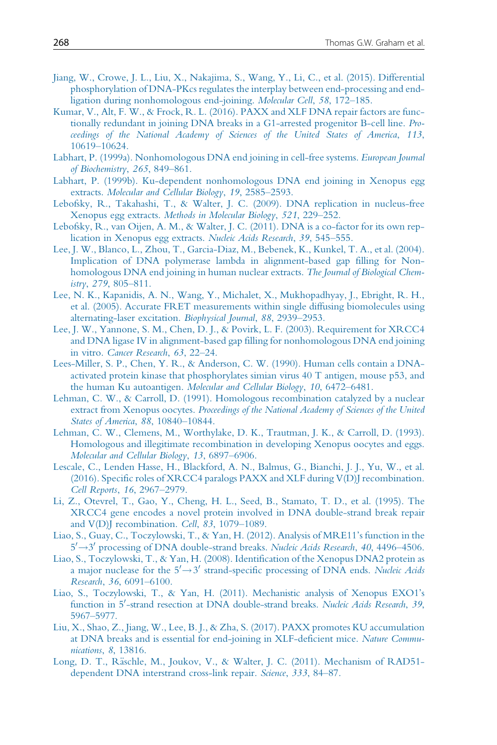- <span id="page-35-0"></span>[Jiang, W., Crowe, J. L., Liu, X., Nakajima, S., Wang, Y., Li, C., et al. \(2015\). Differential](http://refhub.elsevier.com/S0076-6879(17)30118-0/rf0155) [phosphorylation of DNA-PKcs regulates the interplay between end-processing and end](http://refhub.elsevier.com/S0076-6879(17)30118-0/rf0155)[ligation during nonhomologous end-joining.](http://refhub.elsevier.com/S0076-6879(17)30118-0/rf0155) Molecular Cell, 58, 172–185.
- [Kumar, V., Alt, F. W., & Frock, R. L. \(2016\). PAXX and XLF DNA repair factors are func](http://refhub.elsevier.com/S0076-6879(17)30118-0/rf0160)[tionally redundant in joining DNA breaks in a G1-arrested progenitor B-cell line.](http://refhub.elsevier.com/S0076-6879(17)30118-0/rf0160) Pro[ceedings of the National Academy of Sciences of the United States of America](http://refhub.elsevier.com/S0076-6879(17)30118-0/rf0160), 113, 10619–[10624.](http://refhub.elsevier.com/S0076-6879(17)30118-0/rf0160)
- [Labhart, P. \(1999a\). Nonhomologous DNA end joining in cell-free systems.](http://refhub.elsevier.com/S0076-6879(17)30118-0/rf0165) European Journal [of Biochemistry](http://refhub.elsevier.com/S0076-6879(17)30118-0/rf0165), 265, 849–861.
- [Labhart, P. \(1999b\). Ku-dependent nonhomologous DNA end joining in Xenopus egg](http://refhub.elsevier.com/S0076-6879(17)30118-0/rf0170) extracts. [Molecular and Cellular Biology](http://refhub.elsevier.com/S0076-6879(17)30118-0/rf0170), 19, 2585–2593.
- [Lebofsky, R., Takahashi, T., & Walter, J. C. \(2009\). DNA replication in nucleus-free](http://refhub.elsevier.com/S0076-6879(17)30118-0/rf0175) Xenopus egg extracts. [Methods in Molecular Biology](http://refhub.elsevier.com/S0076-6879(17)30118-0/rf0175), 521, 229–252.
- [Lebofsky, R., van Oijen, A. M., & Walter, J. C. \(2011\). DNA is a co-factor for its own rep](http://refhub.elsevier.com/S0076-6879(17)30118-0/rf0180)[lication in Xenopus egg extracts.](http://refhub.elsevier.com/S0076-6879(17)30118-0/rf0180) Nucleic Acids Research, 39, 545–555.
- [Lee, J. W., Blanco, L., Zhou, T., Garcia-Diaz, M., Bebenek, K., Kunkel, T. A., et al. \(2004\).](http://refhub.elsevier.com/S0076-6879(17)30118-0/rf0185) [Implication of DNA polymerase lambda in alignment-based gap filling for Non](http://refhub.elsevier.com/S0076-6879(17)30118-0/rf0185)[homologous DNA end joining in human nuclear extracts.](http://refhub.elsevier.com/S0076-6879(17)30118-0/rf0185) The Journal of Biological Chemistry, 279[, 805](http://refhub.elsevier.com/S0076-6879(17)30118-0/rf0185)–811.
- [Lee, N. K., Kapanidis, A. N., Wang, Y., Michalet, X., Mukhopadhyay, J., Ebright, R. H.,](http://refhub.elsevier.com/S0076-6879(17)30118-0/rf0190) [et al. \(2005\). Accurate FRET measurements within single diffusing biomolecules using](http://refhub.elsevier.com/S0076-6879(17)30118-0/rf0190) [alternating-laser excitation.](http://refhub.elsevier.com/S0076-6879(17)30118-0/rf0190) Biophysical Journal, 88, 2939–2953.
- [Lee, J. W., Yannone, S. M., Chen, D. J., & Povirk, L. F. \(2003\). Requirement for XRCC4](http://refhub.elsevier.com/S0076-6879(17)30118-0/rf0195) [and DNA ligase IV in alignment-based gap filling for nonhomologous DNA end joining](http://refhub.elsevier.com/S0076-6879(17)30118-0/rf0195) in vitro. [Cancer Research](http://refhub.elsevier.com/S0076-6879(17)30118-0/rf0195), 63, 22–24.
- [Lees-Miller, S. P., Chen, Y. R., & Anderson, C. W. \(1990\). Human cells contain a DNA](http://refhub.elsevier.com/S0076-6879(17)30118-0/rf0200)[activated protein kinase that phosphorylates simian virus 40 T antigen, mouse p53, and](http://refhub.elsevier.com/S0076-6879(17)30118-0/rf0200) the human Ku autoantigen. [Molecular and Cellular Biology](http://refhub.elsevier.com/S0076-6879(17)30118-0/rf0200), 10, 6472–6481.
- [Lehman, C. W., & Carroll, D. \(1991\). Homologous recombination catalyzed by a nuclear](http://refhub.elsevier.com/S0076-6879(17)30118-0/rf0205) extract from Xenopus oocytes. [Proceedings of the National Academy of Sciences of the United](http://refhub.elsevier.com/S0076-6879(17)30118-0/rf0205) [States of America](http://refhub.elsevier.com/S0076-6879(17)30118-0/rf0205), 88, 10840–10844.
- [Lehman, C. W., Clemens, M., Worthylake, D. K., Trautman, J. K., & Carroll, D. \(1993\).](http://refhub.elsevier.com/S0076-6879(17)30118-0/rf0210) [Homologous and illegitimate recombination in developing Xenopus oocytes and eggs.](http://refhub.elsevier.com/S0076-6879(17)30118-0/rf0210) [Molecular and Cellular Biology](http://refhub.elsevier.com/S0076-6879(17)30118-0/rf0210), 13, 6897–6906.
- Lescale, C., [Lenden Hasse, H., Blackford, A. N., Balmus, G., Bianchi, J. J., Yu, W., et al.](http://refhub.elsevier.com/S0076-6879(17)30118-0/rf0215) [\(2016\). Specific roles of XRCC4 paralogs PAXX and XLF during V\(D\)J recombination.](http://refhub.elsevier.com/S0076-6879(17)30118-0/rf0215) [Cell Reports](http://refhub.elsevier.com/S0076-6879(17)30118-0/rf0215), 16, 2967–2979.
- [Li, Z., Otevrel, T., Gao, Y., Cheng, H. L., Seed, B., Stamato, T. D., et al. \(1995\). The](http://refhub.elsevier.com/S0076-6879(17)30118-0/rf0220) [XRCC4 gene encodes a novel protein involved in DNA double-strand break repair](http://refhub.elsevier.com/S0076-6879(17)30118-0/rf0220) [and V\(D\)J recombination.](http://refhub.elsevier.com/S0076-6879(17)30118-0/rf0220) Cell, 83, 1079–1089.
- [Liao, S., Guay, C., Toczylowski, T., & Yan, H. \(2012\). Analysis of MRE11's function in the](http://refhub.elsevier.com/S0076-6879(17)30118-0/rf0225) [5](http://refhub.elsevier.com/S0076-6879(17)30118-0/rf0225)'→[3](http://refhub.elsevier.com/S0076-6879(17)30118-0/rf0225)' [processing of DNA double-strand breaks.](http://refhub.elsevier.com/S0076-6879(17)30118-0/rf0225) Nucleic Acids Research, 40, 4496-4506.
- [Liao, S., Toczylowski, T., & Yan, H. \(2008\). Identification of the Xenopus DNA2 protein as](http://refhub.elsevier.com/S0076-6879(17)30118-0/rf0230) a major nuclease for the  $5' \rightarrow 3'$  $5' \rightarrow 3'$  $5' \rightarrow 3'$  [strand-specific processing of DNA ends.](http://refhub.elsevier.com/S0076-6879(17)30118-0/rf0230) Nucleic Acids [Research](http://refhub.elsevier.com/S0076-6879(17)30118-0/rf0230), 36, 6091–6100.
- [Liao, S., Toczylowski, T., & Yan, H. \(2011\). Mechanistic analysis of Xenopus EXO1's](http://refhub.elsevier.com/S0076-6879(17)30118-0/rf0235) [function in 5](http://refhub.elsevier.com/S0076-6879(17)30118-0/rf0235)'[-strand resection at DNA double-strand breaks.](http://refhub.elsevier.com/S0076-6879(17)30118-0/rf0235) Nucleic Acids Research, 39, 5967–[5977.](http://refhub.elsevier.com/S0076-6879(17)30118-0/rf0235)
- [Liu, X., Shao, Z., Jiang, W., Lee, B. J., & Zha, S. \(2017\). PAXX promotes KU accumulation](http://refhub.elsevier.com/S0076-6879(17)30118-0/rf0240) [at DNA breaks and is essential for end-joining in XLF-deficient mice.](http://refhub.elsevier.com/S0076-6879(17)30118-0/rf0240) Nature Communications, 8[, 13816.](http://refhub.elsevier.com/S0076-6879(17)30118-0/rf0240)
- [Long, D. T., R](http://refhub.elsevier.com/S0076-6879(17)30118-0/rf0245)ä[schle, M., Joukov, V., & Walter, J. C. \(2011\). Mechanism of RAD51](http://refhub.elsevier.com/S0076-6879(17)30118-0/rf0245) [dependent DNA interstrand cross-link repair.](http://refhub.elsevier.com/S0076-6879(17)30118-0/rf0245) Science, 333, 84–87.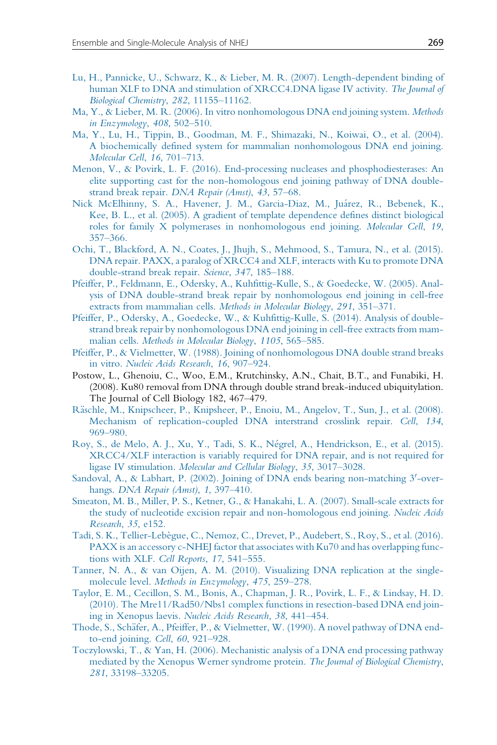- <span id="page-36-0"></span>[Lu, H., Pannicke, U., Schwarz, K., & Lieber, M. R. \(2007\). Length-dependent binding of](http://refhub.elsevier.com/S0076-6879(17)30118-0/rf0250) [human XLF to DNA and stimulation of XRCC4.DNA ligase IV activity.](http://refhub.elsevier.com/S0076-6879(17)30118-0/rf0250) The Journal of [Biological Chemistry](http://refhub.elsevier.com/S0076-6879(17)30118-0/rf0250), 282, 11155–11162.
- [Ma, Y., & Lieber, M. R. \(2006\). In vitro nonhomologous DNA end joining system.](http://refhub.elsevier.com/S0076-6879(17)30118-0/rf0255) Methods [in Enzymology](http://refhub.elsevier.com/S0076-6879(17)30118-0/rf0255), 408, 502–510.
- [Ma, Y., Lu, H., Tippin, B., Goodman, M. F., Shimazaki, N., Koiwai, O., et al. \(2004\).](http://refhub.elsevier.com/S0076-6879(17)30118-0/rf0260) [A biochemically defined system for mammalian nonhomologous DNA end joining.](http://refhub.elsevier.com/S0076-6879(17)30118-0/rf0260) [Molecular Cell](http://refhub.elsevier.com/S0076-6879(17)30118-0/rf0260), 16, 701–713.
- [Menon, V., & Povirk, L. F. \(2016\). End-processing nucleases and phosphodiesterases: An](http://refhub.elsevier.com/S0076-6879(17)30118-0/rf0265) [elite supporting cast for the non-homologous end joining pathway of DNA double](http://refhub.elsevier.com/S0076-6879(17)30118-0/rf0265)strand break repair. [DNA Repair \(Amst\)](http://refhub.elsevier.com/S0076-6879(17)30118-0/rf0265), 43, 57–68.
- Nick McElhinny, S. A., Havener, J. M., Garcia-Diaz, M., Juárez, R., Bebenek, K., [Kee, B. L., et al. \(2005\). A gradient of template dependence defines distinct biological](http://refhub.elsevier.com/S0076-6879(17)30118-0/rf0270) [roles for family X polymerases in nonhomologous end joining.](http://refhub.elsevier.com/S0076-6879(17)30118-0/rf0270) Molecular Cell, 19, 357–[366.](http://refhub.elsevier.com/S0076-6879(17)30118-0/rf0270)
- [Ochi, T., Blackford, A. N., Coates, J., Jhujh, S., Mehmood, S., Tamura, N., et al. \(2015\).](http://refhub.elsevier.com/S0076-6879(17)30118-0/rf0275) [DNA repair. PAXX, a paralog of XRCC4 and XLF, interacts with Ku to promote DNA](http://refhub.elsevier.com/S0076-6879(17)30118-0/rf0275) [double-strand break repair.](http://refhub.elsevier.com/S0076-6879(17)30118-0/rf0275) Science, 347, 185–188.
- [Pfeiffer, P., Feldmann, E., Odersky, A., Kuhfittig-Kulle, S., & Goedecke, W. \(2005\). Anal](http://refhub.elsevier.com/S0076-6879(17)30118-0/rf0280)[ysis of DNA double-strand break repair by nonhomologous end joining in cell-free](http://refhub.elsevier.com/S0076-6879(17)30118-0/rf0280) [extracts from mammalian cells.](http://refhub.elsevier.com/S0076-6879(17)30118-0/rf0280) Methods in Molecular Biology, 291, 351-371.
- [Pfeiffer, P., Odersky, A., Goedecke, W., & Kuhfittig-Kulle, S. \(2014\). Analysis of double](http://refhub.elsevier.com/S0076-6879(17)30118-0/rf0285)[strand break repair by nonhomologous DNA end joining in cell-free extracts from mam](http://refhub.elsevier.com/S0076-6879(17)30118-0/rf0285)malian cells. [Methods in Molecular Biology](http://refhub.elsevier.com/S0076-6879(17)30118-0/rf0285), 1105, 565–585.
- [Pfeiffer, P., & Vielmetter, W. \(1988\). Joining of nonhomologous DNA double strand breaks](http://refhub.elsevier.com/S0076-6879(17)30118-0/rf0290) in vitro. [Nucleic Acids Research](http://refhub.elsevier.com/S0076-6879(17)30118-0/rf0290), 16, 907–924.
- Postow, L., Ghenoiu, C., Woo, E.M., Krutchinsky, A.N., Chait, B.T., and Funabiki, H. (2008). Ku80 removal from DNA through double strand break-induced ubiquitylation. The Journal of Cell Biology 182, 467–479.
- [R](http://refhub.elsevier.com/S0076-6879(17)30118-0/rf0295)äschle, [M., Knipscheer, P., Knipsheer, P., Enoiu, M., Angelov, T., Sun, J., et al. \(2008\).](http://refhub.elsevier.com/S0076-6879(17)30118-0/rf0295) Mechanism [of replication-coupled DNA interstrand crosslink repair.](http://refhub.elsevier.com/S0076-6879(17)30118-0/rf0295) Cell, 134, 969–[980.](http://refhub.elsevier.com/S0076-6879(17)30118-0/rf0295)
- [Roy, S., de Melo, A. J., Xu, Y., Tadi, S. K., N](http://refhub.elsevier.com/S0076-6879(17)30118-0/rf0300)égrel, A., Hendrickson, E., et al. (2015). [XRCC4/XLF interaction is variably required for DNA repair, and is not required for](http://refhub.elsevier.com/S0076-6879(17)30118-0/rf0300) ligase IV stimulation. [Molecular and Cellular Biology](http://refhub.elsevier.com/S0076-6879(17)30118-0/rf0300), 35, 3017–3028.
- [Sandoval, A., & Labhart, P. \(2002\). Joining of DNA ends bearing non-matching 3](http://refhub.elsevier.com/S0076-6879(17)30118-0/rf0305)'[-over](http://refhub.elsevier.com/S0076-6879(17)30118-0/rf0305)hangs. [DNA Repair \(Amst\)](http://refhub.elsevier.com/S0076-6879(17)30118-0/rf0305), 1, 397–410.
- [Smeaton, M. B., Miller, P. S., Ketner, G., & Hanakahi, L. A. \(2007\). Small-scale extracts for](http://refhub.elsevier.com/S0076-6879(17)30118-0/rf0310) [the study of nucleotide excision repair and non-homologous end joining.](http://refhub.elsevier.com/S0076-6879(17)30118-0/rf0310) Nucleic Acids [Research](http://refhub.elsevier.com/S0076-6879(17)30118-0/rf0310), 35, e152.
- Tadi, S. K., Tellier-Lebègue, C., Nemoz, C., Drevet, P., Audebert, S., Roy, S., et al. (2016). [PAXX is an accessory c-NHEJ factor that associates with Ku70 and has overlapping func](http://refhub.elsevier.com/S0076-6879(17)30118-0/rf0315)[tions with XLF.](http://refhub.elsevier.com/S0076-6879(17)30118-0/rf0315) Cell Reports, 17, 541–555.
- [Tanner, N. A., & van Oijen, A. M. \(2010\). Visualizing DNA replication at the single](http://refhub.elsevier.com/S0076-6879(17)30118-0/rf0320)molecule level. [Methods in Enzymology](http://refhub.elsevier.com/S0076-6879(17)30118-0/rf0320), 475, 259–278.
- [Taylor, E. M., Cecillon, S. M., Bonis, A., Chapman, J. R., Povirk, L. F., & Lindsay, H. D.](http://refhub.elsevier.com/S0076-6879(17)30118-0/rf0325) [\(2010\). The Mre11/Rad50/Nbs1 complex functions in resection-based DNA end join](http://refhub.elsevier.com/S0076-6879(17)30118-0/rf0325)[ing in Xenopus laevis.](http://refhub.elsevier.com/S0076-6879(17)30118-0/rf0325) Nucleic Acids Research, 38, 441–454.
- [Thode, S., Sch](http://refhub.elsevier.com/S0076-6879(17)30118-0/rf0330)äfer, A., Pfeiffer, P., & Vielmetter, W. (1990). A novel pathway of DNA end[to-end joining.](http://refhub.elsevier.com/S0076-6879(17)30118-0/rf0330) Cell, 60, 921–928.
- [Toczylowski, T., & Yan, H. \(2006\). Mechanistic analysis of a DNA end processing pathway](http://refhub.elsevier.com/S0076-6879(17)30118-0/rf0335) [mediated by the Xenopus Werner syndrome protein.](http://refhub.elsevier.com/S0076-6879(17)30118-0/rf0335) The Journal of Biological Chemistry, 281[, 33198](http://refhub.elsevier.com/S0076-6879(17)30118-0/rf0335)–33205.